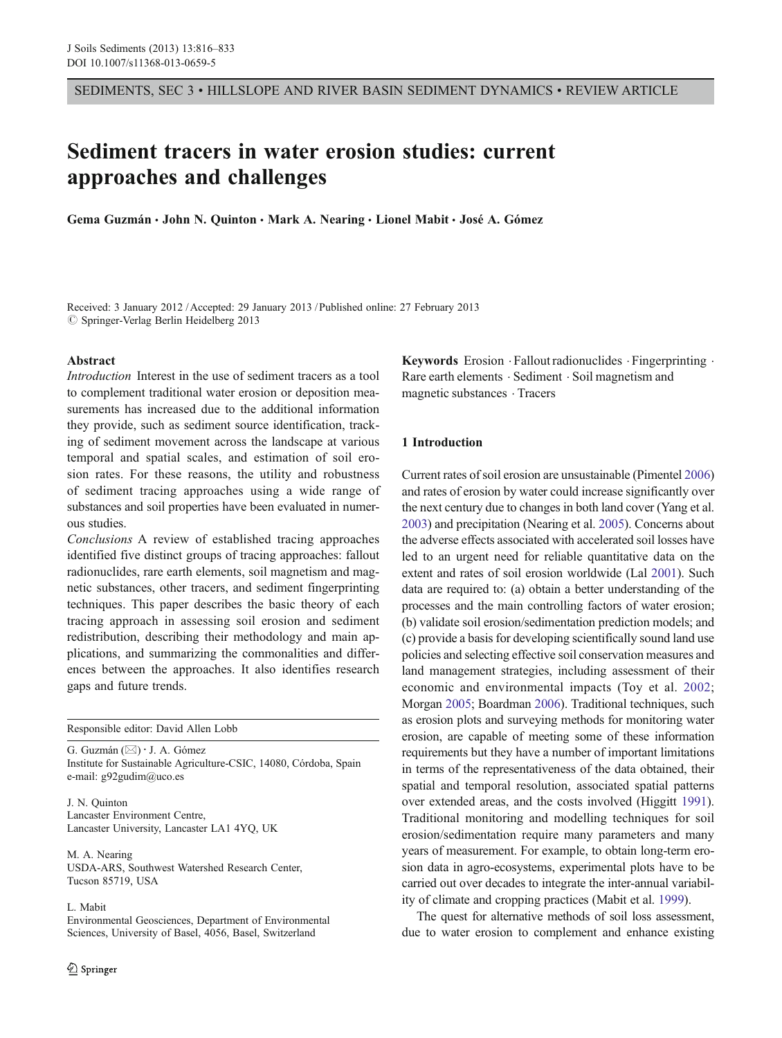SEDIMENTS, SEC 3 • HILLSLOPE AND RIVER BASIN SEDIMENT DYNAMICS • REVIEW ARTICLE

# Sediment tracers in water erosion studies: current approaches and challenges

Gema Guzmán • John N. Quinton • Mark A. Nearing • Lionel Mabit • José A. Gómez

Received: 3 January 2012 /Accepted: 29 January 2013 / Published online: 27 February 2013  $\oslash$  Springer-Verlag Berlin Heidelberg 2013

#### Abstract

Introduction Interest in the use of sediment tracers as a tool to complement traditional water erosion or deposition measurements has increased due to the additional information they provide, such as sediment source identification, tracking of sediment movement across the landscape at various temporal and spatial scales, and estimation of soil erosion rates. For these reasons, the utility and robustness of sediment tracing approaches using a wide range of substances and soil properties have been evaluated in numerous studies.

Conclusions A review of established tracing approaches identified five distinct groups of tracing approaches: fallout radionuclides, rare earth elements, soil magnetism and magnetic substances, other tracers, and sediment fingerprinting techniques. This paper describes the basic theory of each tracing approach in assessing soil erosion and sediment redistribution, describing their methodology and main applications, and summarizing the commonalities and differences between the approaches. It also identifies research gaps and future trends.

Responsible editor: David Allen Lobb

G. Guzmán  $(\boxtimes) \cdot$  J. A. Gómez Institute for Sustainable Agriculture-CSIC, 14080, Córdoba, Spain e-mail: g92gudim@uco.es

J. N. Quinton Lancaster Environment Centre, Lancaster University, Lancaster LA1 4YQ, UK

M. A. Nearing USDA-ARS, Southwest Watershed Research Center, Tucson 85719, USA

#### L. Mabit

Environmental Geosciences, Department of Environmental Sciences, University of Basel, 4056, Basel, Switzerland

Keywords Erosion . Fallout radionuclides . Fingerprinting . Rare earth elements . Sediment . Soil magnetism and magnetic substances . Tracers

#### 1 Introduction

Current rates of soil erosion are unsustainable (Pimentel [2006](#page-15-0)) and rates of erosion by water could increase significantly over the next century due to changes in both land cover (Yang et al. [2003\)](#page-16-0) and precipitation (Nearing et al. [2005\)](#page-15-0). Concerns about the adverse effects associated with accelerated soil losses have led to an urgent need for reliable quantitative data on the extent and rates of soil erosion worldwide (Lal [2001\)](#page-14-0). Such data are required to: (a) obtain a better understanding of the processes and the main controlling factors of water erosion; (b) validate soil erosion/sedimentation prediction models; and (c) provide a basis for developing scientifically sound land use policies and selecting effective soil conservation measures and land management strategies, including assessment of their economic and environmental impacts (Toy et al. [2002;](#page-16-0) Morgan [2005](#page-15-0); Boardman [2006\)](#page-13-0). Traditional techniques, such as erosion plots and surveying methods for monitoring water erosion, are capable of meeting some of these information requirements but they have a number of important limitations in terms of the representativeness of the data obtained, their spatial and temporal resolution, associated spatial patterns over extended areas, and the costs involved (Higgitt [1991\)](#page-13-0). Traditional monitoring and modelling techniques for soil erosion/sedimentation require many parameters and many years of measurement. For example, to obtain long-term erosion data in agro-ecosystems, experimental plots have to be carried out over decades to integrate the inter-annual variability of climate and cropping practices (Mabit et al. [1999](#page-14-0)).

The quest for alternative methods of soil loss assessment, due to water erosion to complement and enhance existing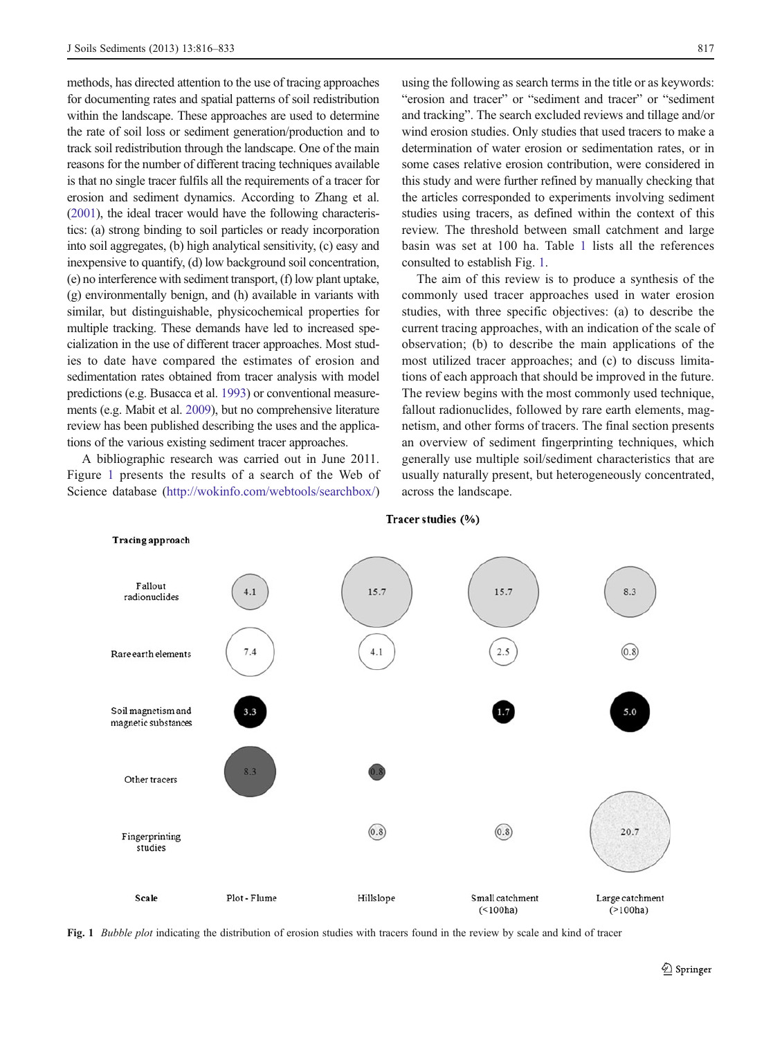<span id="page-1-0"></span>methods, has directed attention to the use of tracing approaches for documenting rates and spatial patterns of soil redistribution within the landscape. These approaches are used to determine the rate of soil loss or sediment generation/production and to track soil redistribution through the landscape. One of the main reasons for the number of different tracing techniques available is that no single tracer fulfils all the requirements of a tracer for erosion and sediment dynamics. According to Zhang et al. [\(2001](#page-17-0)), the ideal tracer would have the following characteristics: (a) strong binding to soil particles or ready incorporation into soil aggregates, (b) high analytical sensitivity, (c) easy and inexpensive to quantify, (d) low background soil concentration, (e) no interference with sediment transport, (f) low plant uptake, (g) environmentally benign, and (h) available in variants with similar, but distinguishable, physicochemical properties for multiple tracking. These demands have led to increased specialization in the use of different tracer approaches. Most studies to date have compared the estimates of erosion and sedimentation rates obtained from tracer analysis with model predictions (e.g. Busacca et al. [1993\)](#page-13-0) or conventional measurements (e.g. Mabit et al. [2009\)](#page-14-0), but no comprehensive literature review has been published describing the uses and the applications of the various existing sediment tracer approaches.

A bibliographic research was carried out in June 2011. Figure 1 presents the results of a search of the Web of Science database ([http://wokinfo.com/webtools/searchbox/\)](http://wokinfo.com/webtools/searchbox/) using the following as search terms in the title or as keywords: "erosion and tracer" or "sediment and tracer" or "sediment and tracking". The search excluded reviews and tillage and/or wind erosion studies. Only studies that used tracers to make a determination of water erosion or sedimentation rates, or in some cases relative erosion contribution, were considered in this study and were further refined by manually checking that the articles corresponded to experiments involving sediment studies using tracers, as defined within the context of this review. The threshold between small catchment and large basin was set at 100 ha. Table [1](#page-2-0) lists all the references consulted to establish Fig. 1.

The aim of this review is to produce a synthesis of the commonly used tracer approaches used in water erosion studies, with three specific objectives: (a) to describe the current tracing approaches, with an indication of the scale of observation; (b) to describe the main applications of the most utilized tracer approaches; and (c) to discuss limitations of each approach that should be improved in the future. The review begins with the most commonly used technique, fallout radionuclides, followed by rare earth elements, magnetism, and other forms of tracers. The final section presents an overview of sediment fingerprinting techniques, which generally use multiple soil/sediment characteristics that are usually naturally present, but heterogeneously concentrated, across the landscape.



Tracer studies (%)

Fig. 1 Bubble plot indicating the distribution of erosion studies with tracers found in the review by scale and kind of tracer

 $\mathcal{D}$  Springer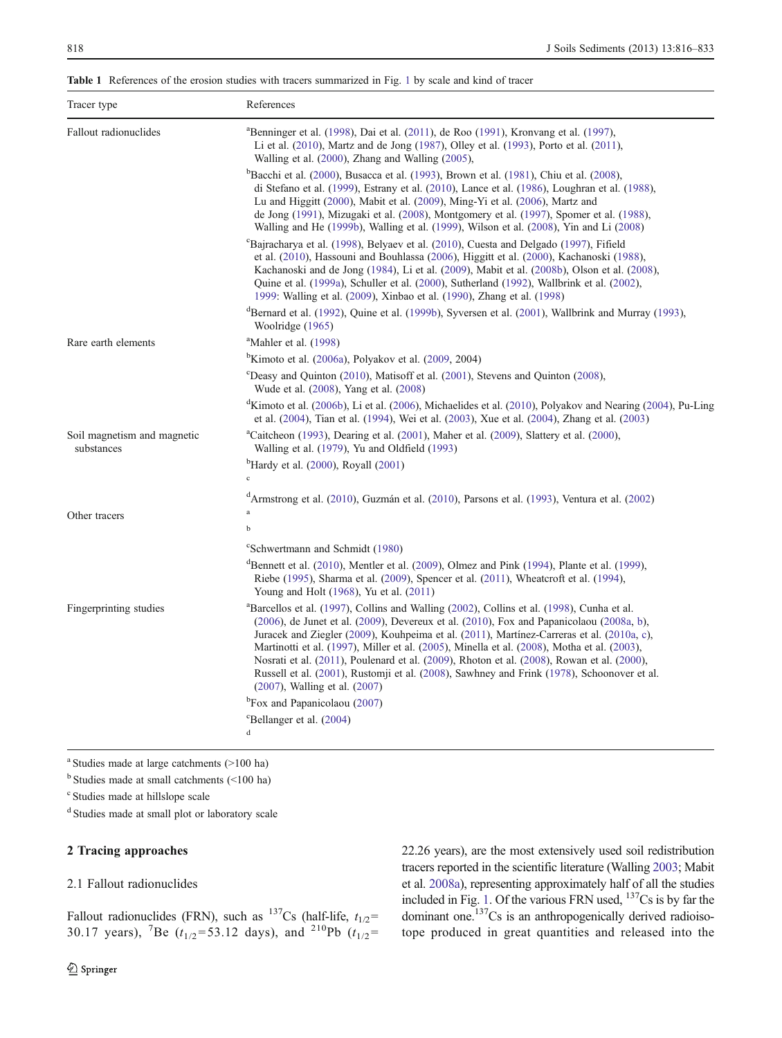<span id="page-2-0"></span>Table [1](#page-1-0) References of the erosion studies with tracers summarized in Fig. 1 by scale and kind of tracer

| Tracer type                               | References                                                                                                                                                                                                                                                                                                                                                                                                                                                                                                                                                                                                                 |  |  |  |  |  |  |
|-------------------------------------------|----------------------------------------------------------------------------------------------------------------------------------------------------------------------------------------------------------------------------------------------------------------------------------------------------------------------------------------------------------------------------------------------------------------------------------------------------------------------------------------------------------------------------------------------------------------------------------------------------------------------------|--|--|--|--|--|--|
| Fallout radionuclides                     | <sup>a</sup> Benninger et al. (1998), Dai et al. (2011), de Roo (1991), Kronvang et al. (1997),<br>Li et al. (2010), Martz and de Jong (1987), Olley et al. (1993), Porto et al. (2011),<br>Walling et al. (2000), Zhang and Walling (2005),                                                                                                                                                                                                                                                                                                                                                                               |  |  |  |  |  |  |
|                                           | ${}^{b}$ Bacchi et al. (2000), Busacca et al. (1993), Brown et al. (1981), Chiu et al. (2008),<br>di Stefano et al. (1999), Estrany et al. (2010), Lance et al. (1986), Loughran et al. (1988),<br>Lu and Higgitt (2000), Mabit et al. (2009), Ming-Yi et al. (2006), Martz and<br>de Jong (1991), Mizugaki et al. (2008), Montgomery et al. (1997), Spomer et al. (1988),<br>Walling and He (1999b), Walling et al. (1999), Wilson et al. (2008), Yin and Li (2008)                                                                                                                                                       |  |  |  |  |  |  |
|                                           | <sup>c</sup> Bajracharya et al. (1998), Belyaev et al. (2010), Cuesta and Delgado (1997), Fifield<br>et al. (2010), Hassouni and Bouhlassa (2006), Higgitt et al. (2000), Kachanoski (1988),<br>Kachanoski and de Jong (1984), Li et al. (2009), Mabit et al. (2008b), Olson et al. (2008),<br>Quine et al. (1999a), Schuller et al. (2000), Sutherland (1992), Wallbrink et al. (2002),<br>1999: Walling et al. (2009), Xinbao et al. (1990), Zhang et al. (1998)                                                                                                                                                         |  |  |  |  |  |  |
|                                           | <sup>d</sup> Bernard et al. (1992), Quine et al. (1999b), Syversen et al. (2001), Wallbrink and Murray (1993),<br>Woolridge (1965)                                                                                                                                                                                                                                                                                                                                                                                                                                                                                         |  |  |  |  |  |  |
| Rare earth elements                       | <sup>a</sup> Mahler et al. (1998)                                                                                                                                                                                                                                                                                                                                                                                                                                                                                                                                                                                          |  |  |  |  |  |  |
|                                           | <sup>b</sup> Kimoto et al. (2006a), Polyakov et al. (2009, 2004)                                                                                                                                                                                                                                                                                                                                                                                                                                                                                                                                                           |  |  |  |  |  |  |
|                                           | <sup>c</sup> Deasy and Quinton (2010), Matisoff et al. (2001), Stevens and Quinton (2008),<br>Wude et al. (2008), Yang et al. (2008)                                                                                                                                                                                                                                                                                                                                                                                                                                                                                       |  |  |  |  |  |  |
|                                           | $\rm^d$ Kimoto et al. (2006b), Li et al. (2006), Michaelides et al. (2010), Polyakov and Nearing (2004), Pu-Ling<br>et al. (2004), Tian et al. (1994), Wei et al. (2003), Xue et al. (2004), Zhang et al. (2003)                                                                                                                                                                                                                                                                                                                                                                                                           |  |  |  |  |  |  |
| Soil magnetism and magnetic<br>substances | ${}^a$ Caitcheon (1993), Dearing et al. (2001), Maher et al. (2009), Slattery et al. (2000),<br>Walling et al. (1979), Yu and Oldfield (1993)                                                                                                                                                                                                                                                                                                                                                                                                                                                                              |  |  |  |  |  |  |
|                                           | <sup>b</sup> Hardy et al. (2000), Royall (2001)<br>$\rm _c$                                                                                                                                                                                                                                                                                                                                                                                                                                                                                                                                                                |  |  |  |  |  |  |
| Other tracers                             | <sup>d</sup> Armstrong et al. (2010), Guzmán et al. (2010), Parsons et al. (1993), Ventura et al. (2002)<br>$\rm{a}$                                                                                                                                                                                                                                                                                                                                                                                                                                                                                                       |  |  |  |  |  |  |
|                                           | b                                                                                                                                                                                                                                                                                                                                                                                                                                                                                                                                                                                                                          |  |  |  |  |  |  |
|                                           | <sup>c</sup> Schwertmann and Schmidt (1980)                                                                                                                                                                                                                                                                                                                                                                                                                                                                                                                                                                                |  |  |  |  |  |  |
|                                           | <sup>d</sup> Bennett et al. (2010), Mentler et al. (2009), Olmez and Pink (1994), Plante et al. (1999),<br>Riebe (1995), Sharma et al. (2009), Spencer et al. (2011), Wheatcroft et al. (1994),<br>Young and Holt (1968), Yu et al. (2011)                                                                                                                                                                                                                                                                                                                                                                                 |  |  |  |  |  |  |
| Fingerprinting studies                    | <sup>a</sup> Barcellos et al. (1997), Collins and Walling (2002), Collins et al. (1998), Cunha et al.<br>(2006), de Junet et al. (2009), Devereux et al. (2010), Fox and Papanicolaou (2008a, b),<br>Juracek and Ziegler (2009), Kouhpeima et al. (2011), Martínez-Carreras et al. (2010a, c),<br>Martinotti et al. (1997), Miller et al. (2005), Minella et al. (2008), Motha et al. (2003),<br>Nosrati et al. (2011), Poulenard et al. (2009), Rhoton et al. (2008), Rowan et al. (2000),<br>Russell et al. (2001), Rustomji et al. (2008), Sawhney and Frink (1978), Schoonover et al.<br>(2007), Walling et al. (2007) |  |  |  |  |  |  |
|                                           | ${}^{b}$ Fox and Papanicolaou (2007)                                                                                                                                                                                                                                                                                                                                                                                                                                                                                                                                                                                       |  |  |  |  |  |  |
|                                           | <sup>c</sup> Bellanger et al. (2004)                                                                                                                                                                                                                                                                                                                                                                                                                                                                                                                                                                                       |  |  |  |  |  |  |
|                                           | d                                                                                                                                                                                                                                                                                                                                                                                                                                                                                                                                                                                                                          |  |  |  |  |  |  |

<sup>a</sup> Studies made at large catchments (>100 ha)

<sup>b</sup> Studies made at small catchments (<100 ha)

c Studies made at hillslope scale

<sup>d</sup> Studies made at small plot or laboratory scale

## 2 Tracing approaches

# 2.1 Fallout radionuclides

Fallout radionuclides (FRN), such as <sup>137</sup>Cs (half-life,  $t_{1/2}$ = 30.17 years), <sup>7</sup>Be ( $t_{1/2}$ =53.12 days), and <sup>210</sup>Pb ( $t_{1/2}$ = 22.26 years), are the most extensively used soil redistribution tracers reported in the scientific literature (Walling [2003;](#page-16-0) Mabit et al. [2008a](#page-14-0)), representing approximately half of all the studies included in Fig. [1.](#page-1-0) Of the various FRN used, 137Cs is by far the dominant one.<sup>137</sup>Cs is an anthropogenically derived radioisotope produced in great quantities and released into the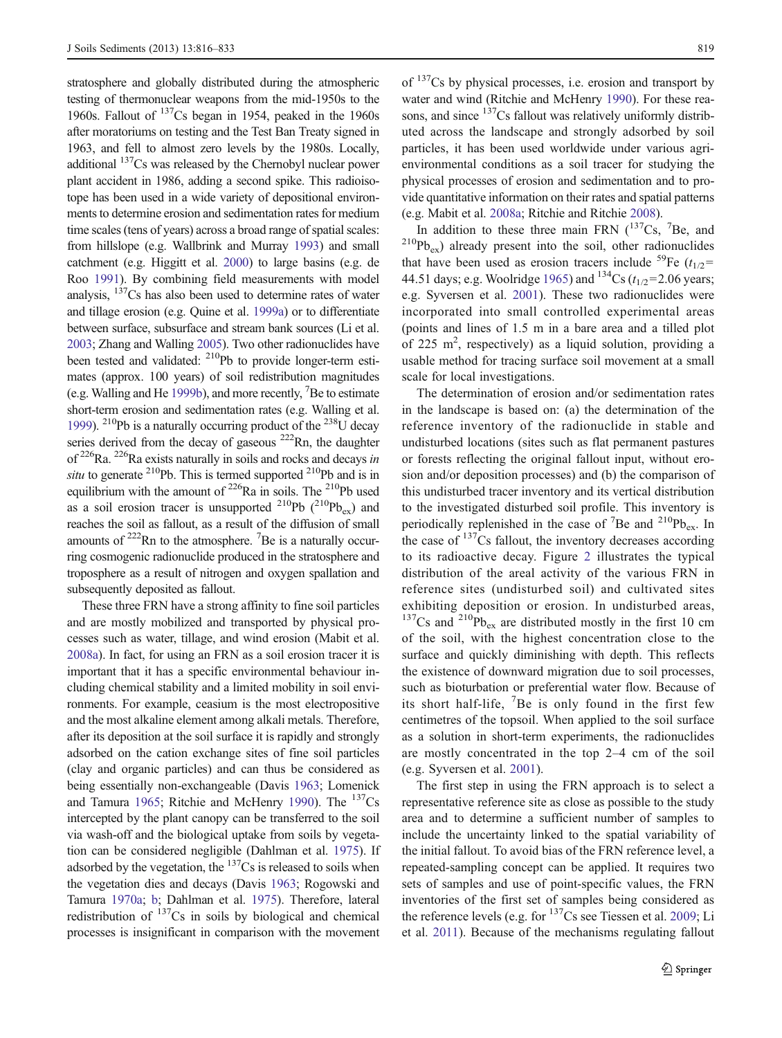stratosphere and globally distributed during the atmospheric testing of thermonuclear weapons from the mid-1950s to the 1960s. Fallout of  $137$ Cs began in 1954, peaked in the 1960s after moratoriums on testing and the Test Ban Treaty signed in 1963, and fell to almost zero levels by the 1980s. Locally, additional <sup>137</sup>Cs was released by the Chernobyl nuclear power plant accident in 1986, adding a second spike. This radioisotope has been used in a wide variety of depositional environments to determine erosion and sedimentation rates for medium time scales (tens of years) across a broad range of spatial scales: from hillslope (e.g. Wallbrink and Murray [1993](#page-16-0)) and small catchment (e.g. Higgitt et al. [2000](#page-13-0)) to large basins (e.g. de Roo [1991](#page-13-0)). By combining field measurements with model analysis, 137Cs has also been used to determine rates of water and tillage erosion (e.g. Quine et al. [1999a](#page-15-0)) or to differentiate between surface, subsurface and stream bank sources (Li et al. [2003](#page-14-0); Zhang and Walling [2005](#page-17-0)). Two other radionuclides have been tested and validated: <sup>210</sup>Pb to provide longer-term estimates (approx. 100 years) of soil redistribution magnitudes (e.g. Walling and He [1999b](#page-16-0)), and more recently, <sup>7</sup>Be to estimate short-term erosion and sedimentation rates (e.g. Walling et al. [1999](#page-16-0)). <sup>210</sup>Pb is a naturally occurring product of the <sup>238</sup>U decay series derived from the decay of gaseous  $222$ Rn, the daughter of  $226$ Ra.  $226$ Ra exists naturally in soils and rocks and decays in situ to generate <sup>210</sup>Pb. This is termed supported <sup>210</sup>Pb and is in equilibrium with the amount of  $226$ Ra in soils. The  $210$ Pb used as a soil erosion tracer is unsupported <sup>210</sup>Pb (<sup>210</sup>Pb<sub>ex</sub>) and reaches the soil as fallout, as a result of the diffusion of small amounts of  $^{222}$ Rn to the atmosphere. <sup>7</sup>Be is a naturally occurring cosmogenic radionuclide produced in the stratosphere and troposphere as a result of nitrogen and oxygen spallation and subsequently deposited as fallout.

These three FRN have a strong affinity to fine soil particles and are mostly mobilized and transported by physical processes such as water, tillage, and wind erosion (Mabit et al. [2008a\)](#page-14-0). In fact, for using an FRN as a soil erosion tracer it is important that it has a specific environmental behaviour including chemical stability and a limited mobility in soil environments. For example, ceasium is the most electropositive and the most alkaline element among alkali metals. Therefore, after its deposition at the soil surface it is rapidly and strongly adsorbed on the cation exchange sites of fine soil particles (clay and organic particles) and can thus be considered as being essentially non-exchangeable (Davis [1963](#page-13-0); Lomenick and Tamura [1965](#page-14-0); Ritchie and McHenry [1990](#page-15-0)). The  $^{137}Cs$ intercepted by the plant canopy can be transferred to the soil via wash-off and the biological uptake from soils by vegetation can be considered negligible (Dahlman et al. [1975](#page-13-0)). If adsorbed by the vegetation, the  $137Cs$  is released to soils when the vegetation dies and decays (Davis [1963;](#page-13-0) Rogowski and Tamura [1970a;](#page-15-0) [b](#page-15-0); Dahlman et al. [1975](#page-13-0)). Therefore, lateral redistribution of  $137Cs$  in soils by biological and chemical processes is insignificant in comparison with the movement

of  $137Cs$  by physical processes, i.e. erosion and transport by water and wind (Ritchie and McHenry [1990](#page-15-0)). For these reasons, and since <sup>137</sup>Cs fallout was relatively uniformly distributed across the landscape and strongly adsorbed by soil particles, it has been used worldwide under various agrienvironmental conditions as a soil tracer for studying the physical processes of erosion and sedimentation and to provide quantitative information on their rates and spatial patterns (e.g. Mabit et al. [2008a](#page-14-0); Ritchie and Ritchie [2008\)](#page-15-0).

In addition to these three main FRN  $(^{137}Cs$ , <sup>7</sup>Be, and  $^{210}Pb_{ex}$ ) already present into the soil, other radionuclides that have been used as erosion tracers include <sup>59</sup>Fe ( $t_{1/2}$ = 44.51 days; e.g. Woolridge [1965](#page-16-0)) and <sup>134</sup>Cs ( $t_{1/2}$ =2.06 years; e.g. Syversen et al. [2001\)](#page-16-0). These two radionuclides were incorporated into small controlled experimental areas (points and lines of 1.5 m in a bare area and a tilled plot of 225 m<sup>2</sup>, respectively) as a liquid solution, providing a usable method for tracing surface soil movement at a small scale for local investigations.

The determination of erosion and/or sedimentation rates in the landscape is based on: (a) the determination of the reference inventory of the radionuclide in stable and undisturbed locations (sites such as flat permanent pastures or forests reflecting the original fallout input, without erosion and/or deposition processes) and (b) the comparison of this undisturbed tracer inventory and its vertical distribution to the investigated disturbed soil profile. This inventory is periodically replenished in the case of <sup>7</sup>Be and <sup>210</sup>Pb<sub>ex</sub>. In the case of  $137$ Cs fallout, the inventory decreases according to its radioactive decay. Figure [2](#page-4-0) illustrates the typical distribution of the areal activity of the various FRN in reference sites (undisturbed soil) and cultivated sites exhibiting deposition or erosion. In undisturbed areas,  $137$ Cs and  $210$ Pb<sub>ex</sub> are distributed mostly in the first 10 cm of the soil, with the highest concentration close to the surface and quickly diminishing with depth. This reflects the existence of downward migration due to soil processes, such as bioturbation or preferential water flow. Because of its short half-life,  $7Be$  is only found in the first few centimetres of the topsoil. When applied to the soil surface as a solution in short-term experiments, the radionuclides are mostly concentrated in the top 2–4 cm of the soil (e.g. Syversen et al. [2001\)](#page-16-0).

The first step in using the FRN approach is to select a representative reference site as close as possible to the study area and to determine a sufficient number of samples to include the uncertainty linked to the spatial variability of the initial fallout. To avoid bias of the FRN reference level, a repeated-sampling concept can be applied. It requires two sets of samples and use of point-specific values, the FRN inventories of the first set of samples being considered as the reference levels (e.g. for  $137$ Cs see Tiessen et al. [2009;](#page-16-0) Li et al. [2011\)](#page-14-0). Because of the mechanisms regulating fallout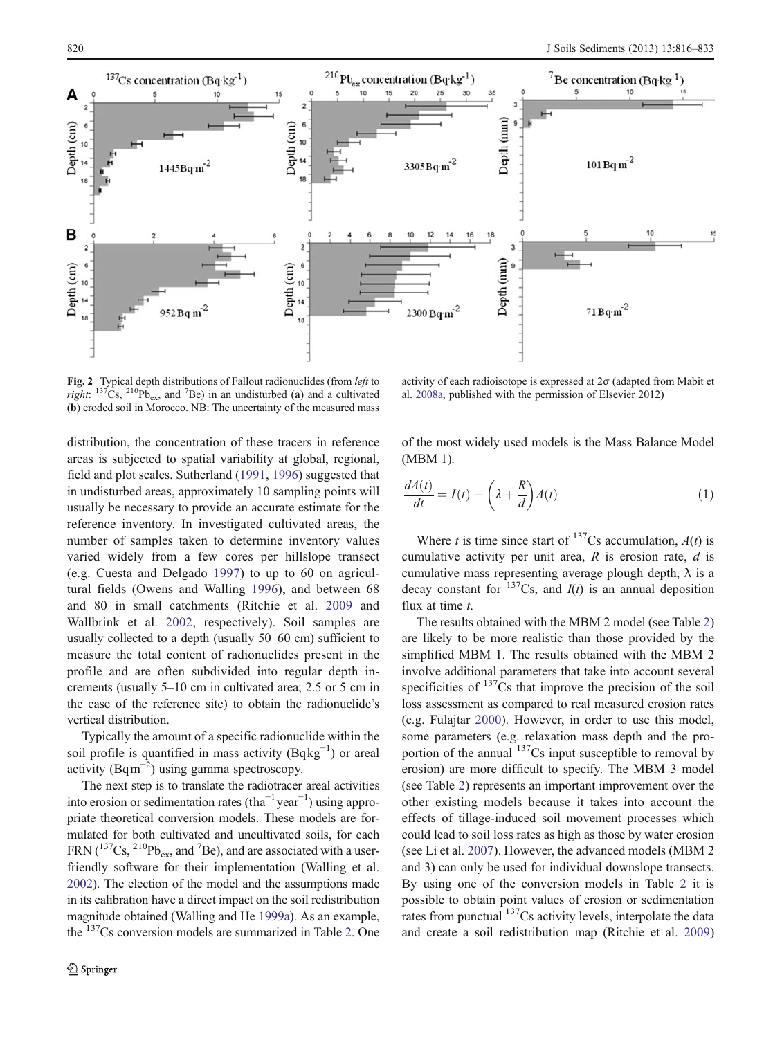<span id="page-4-0"></span>

(MBM 1).

**Fig. 2** Typical depth distributions of Fallout radionuclides (from *left* to *right*: <sup>137</sup>Cs, <sup>210</sup>Pb<sub>ex</sub>, and <sup>7</sup>Be) in an undisturbed (**a**) and a cultivated (b) eroded soil in Morocco. NB: The uncertainty of the measured mass

activity of each radioisotope is expressed at 2σ (adapted from Mabit et al. [2008a](#page-14-0), published with the permission of Elsevier 2012)

distribution, the concentration of these tracers in reference areas is subjected to spatial variability at global, regional, field and plot scales. Sutherland ([1991,](#page-16-0) [1996](#page-16-0)) suggested that in undisturbed areas, approximately 10 sampling points will usually be necessary to provide an accurate estimate for the reference inventory. In investigated cultivated areas, the number of samples taken to determine inventory values varied widely from a few cores per hillslope transect (e.g. Cuesta and Delgado [1997\)](#page-13-0) to up to 60 on agricultural fields (Owens and Walling [1996\)](#page-15-0), and between 68 and 80 in small catchments (Ritchie et al. [2009](#page-15-0) and Wallbrink et al. [2002,](#page-16-0) respectively). Soil samples are usually collected to a depth (usually 50–60 cm) sufficient to measure the total content of radionuclides present in the profile and are often subdivided into regular depth increments (usually 5–10 cm in cultivated area; 2.5 or 5 cm in the case of the reference site) to obtain the radionuclide's vertical distribution.

Typically the amount of a specific radionuclide within the soil profile is quantified in mass activity (Bqkg<sup>-1</sup>) or areal activity  $(Bqm^{-2})$  using gamma spectroscopy.

The next step is to translate the radiotracer areal activities into erosion or sedimentation rates  $(tha^{-1}year^{-1})$  using appropriate theoretical conversion models. These models are formulated for both cultivated and uncultivated soils, for each FRN  $(^{137}Cs$ ,  $^{210}Pb_{ex}$ , and  $^{7}Be$ ), and are associated with a userfriendly software for their implementation (Walling et al. [2002\)](#page-16-0). The election of the model and the assumptions made in its calibration have a direct impact on the soil redistribution magnitude obtained (Walling and He [1999a\)](#page-16-0). As an example, the 137Cs conversion models are summarized in Table [2.](#page-5-0) One of the most widely used models is the Mass Balance Model

$$
\frac{dA(t)}{dt} = I(t) - \left(\lambda + \frac{R}{d}\right)A(t) \tag{1}
$$

Where t is time since start of  $137Cs$  accumulation,  $A(t)$  is cumulative activity per unit area,  $R$  is erosion rate,  $d$  is cumulative mass representing average plough depth,  $\lambda$  is a decay constant for  $137Cs$ , and  $I(t)$  is an annual deposition flux at time  $t$ .

The results obtained with the MBM 2 model (see Table [2](#page-5-0)) are likely to be more realistic than those provided by the simplified MBM 1. The results obtained with the MBM 2 involve additional parameters that take into account several specificities of  $137$ Cs that improve the precision of the soil loss assessment as compared to real measured erosion rates (e.g. Fulajtar [2000\)](#page-13-0). However, in order to use this model, some parameters (e.g. relaxation mass depth and the proportion of the annual  $137Cs$  input susceptible to removal by erosion) are more difficult to specify. The MBM 3 model (see Table [2](#page-5-0)) represents an important improvement over the other existing models because it takes into account the effects of tillage-induced soil movement processes which could lead to soil loss rates as high as those by water erosion (see Li et al. [2007](#page-14-0)). However, the advanced models (MBM 2 and 3) can only be used for individual downslope transects. By using one of the conversion models in Table [2](#page-5-0) it is possible to obtain point values of erosion or sedimentation rates from punctual <sup>137</sup>Cs activity levels, interpolate the data and create a soil redistribution map (Ritchie et al. [2009](#page-15-0))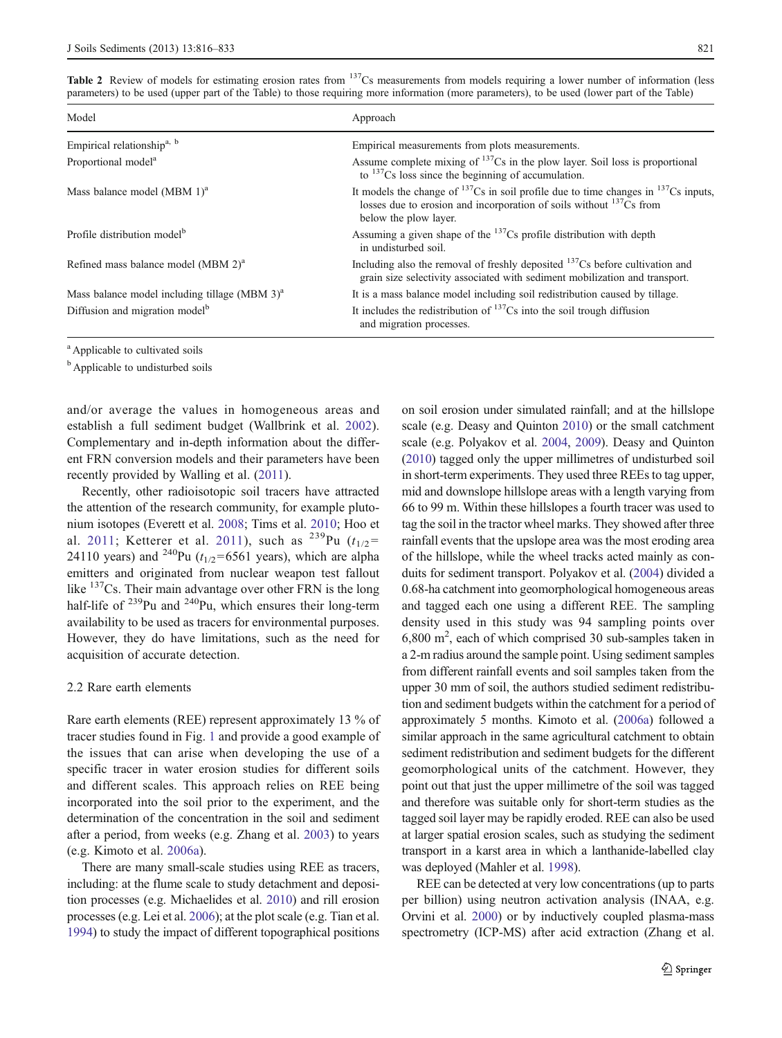| Model                                                     | Approach                                                                                                                                                                                                 |  |  |  |  |
|-----------------------------------------------------------|----------------------------------------------------------------------------------------------------------------------------------------------------------------------------------------------------------|--|--|--|--|
| Empirical relationship <sup>a, b</sup>                    | Empirical measurements from plots measurements.                                                                                                                                                          |  |  |  |  |
| Proportional model <sup>a</sup>                           | Assume complete mixing of $137Cs$ in the plow layer. Soil loss is proportional<br>to $137$ Cs loss since the beginning of accumulation.                                                                  |  |  |  |  |
| Mass balance model (MBM $1$ ) <sup>a</sup>                | It models the change of $^{137}Cs$ in soil profile due to time changes in $^{137}Cs$ inputs,<br>losses due to erosion and incorporation of soils without <sup>137</sup> Cs from<br>below the plow layer. |  |  |  |  |
| Profile distribution model <sup>b</sup>                   | Assuming a given shape of the $137$ Cs profile distribution with depth<br>in undisturbed soil.                                                                                                           |  |  |  |  |
| Refined mass balance model (MBM 2) <sup>a</sup>           | Including also the removal of freshly deposited $137$ Cs before cultivation and<br>grain size selectivity associated with sediment mobilization and transport.                                           |  |  |  |  |
| Mass balance model including tillage (MBM 3) <sup>a</sup> | It is a mass balance model including soil redistribution caused by tillage.                                                                                                                              |  |  |  |  |
| Diffusion and migration model <sup>b</sup>                | It includes the redistribution of $137Cs$ into the soil trough diffusion<br>and migration processes.                                                                                                     |  |  |  |  |

<span id="page-5-0"></span>**Table 2** Review of models for estimating erosion rates from  $137$ Cs measurements from models requiring a lower number of information (less parameters) to be used (upper part of the Table) to those requiring more information (more parameters), to be used (lower part of the Table)

<sup>a</sup> Applicable to cultivated soils

<sup>b</sup> Applicable to undisturbed soils

and/or average the values in homogeneous areas and establish a full sediment budget (Wallbrink et al. [2002](#page-16-0)). Complementary and in-depth information about the different FRN conversion models and their parameters have been recently provided by Walling et al. ([2011\)](#page-16-0).

Recently, other radioisotopic soil tracers have attracted the attention of the research community, for example plutonium isotopes (Everett et al. [2008](#page-13-0); Tims et al. [2010;](#page-16-0) Hoo et al. [2011;](#page-14-0) Ketterer et al. [2011\)](#page-14-0), such as  $^{239}$ Pu ( $t_{1/2}$ = 24110 years) and <sup>240</sup>Pu ( $t_{1/2}$ =6561 years), which are alpha emitters and originated from nuclear weapon test fallout like  $137Cs$ . Their main advantage over other FRN is the long half-life of  $^{239}$ Pu and  $^{240}$ Pu, which ensures their long-term availability to be used as tracers for environmental purposes. However, they do have limitations, such as the need for acquisition of accurate detection.

#### 2.2 Rare earth elements

Rare earth elements (REE) represent approximately 13 % of tracer studies found in Fig. [1](#page-1-0) and provide a good example of the issues that can arise when developing the use of a specific tracer in water erosion studies for different soils and different scales. This approach relies on REE being incorporated into the soil prior to the experiment, and the determination of the concentration in the soil and sediment after a period, from weeks (e.g. Zhang et al. [2003](#page-17-0)) to years (e.g. Kimoto et al. [2006a\)](#page-14-0).

There are many small-scale studies using REE as tracers, including: at the flume scale to study detachment and deposition processes (e.g. Michaelides et al. [2010\)](#page-14-0) and rill erosion processes (e.g. Lei et al. [2006\)](#page-14-0); at the plot scale (e.g. Tian et al. [1994\)](#page-16-0) to study the impact of different topographical positions on soil erosion under simulated rainfall; and at the hillslope scale (e.g. Deasy and Quinton [2010](#page-13-0)) or the small catchment scale (e.g. Polyakov et al. [2004](#page-15-0), [2009\)](#page-15-0). Deasy and Quinton [\(2010\)](#page-13-0) tagged only the upper millimetres of undisturbed soil in short-term experiments. They used three REEs to tag upper, mid and downslope hillslope areas with a length varying from 66 to 99 m. Within these hillslopes a fourth tracer was used to tag the soil in the tractor wheel marks. They showed after three rainfall events that the upslope area was the most eroding area of the hillslope, while the wheel tracks acted mainly as conduits for sediment transport. Polyakov et al. ([2004](#page-15-0)) divided a 0.68-ha catchment into geomorphological homogeneous areas and tagged each one using a different REE. The sampling density used in this study was 94 sampling points over 6,800 m2 , each of which comprised 30 sub-samples taken in a 2-m radius around the sample point. Using sediment samples from different rainfall events and soil samples taken from the upper 30 mm of soil, the authors studied sediment redistribution and sediment budgets within the catchment for a period of approximately 5 months. Kimoto et al. ([2006a](#page-14-0)) followed a similar approach in the same agricultural catchment to obtain sediment redistribution and sediment budgets for the different geomorphological units of the catchment. However, they point out that just the upper millimetre of the soil was tagged and therefore was suitable only for short-term studies as the tagged soil layer may be rapidly eroded. REE can also be used at larger spatial erosion scales, such as studying the sediment transport in a karst area in which a lanthanide-labelled clay was deployed (Mahler et al. [1998\)](#page-14-0).

REE can be detected at very low concentrations (up to parts per billion) using neutron activation analysis (INAA, e.g. Orvini et al. [2000](#page-15-0)) or by inductively coupled plasma-mass spectrometry (ICP-MS) after acid extraction (Zhang et al.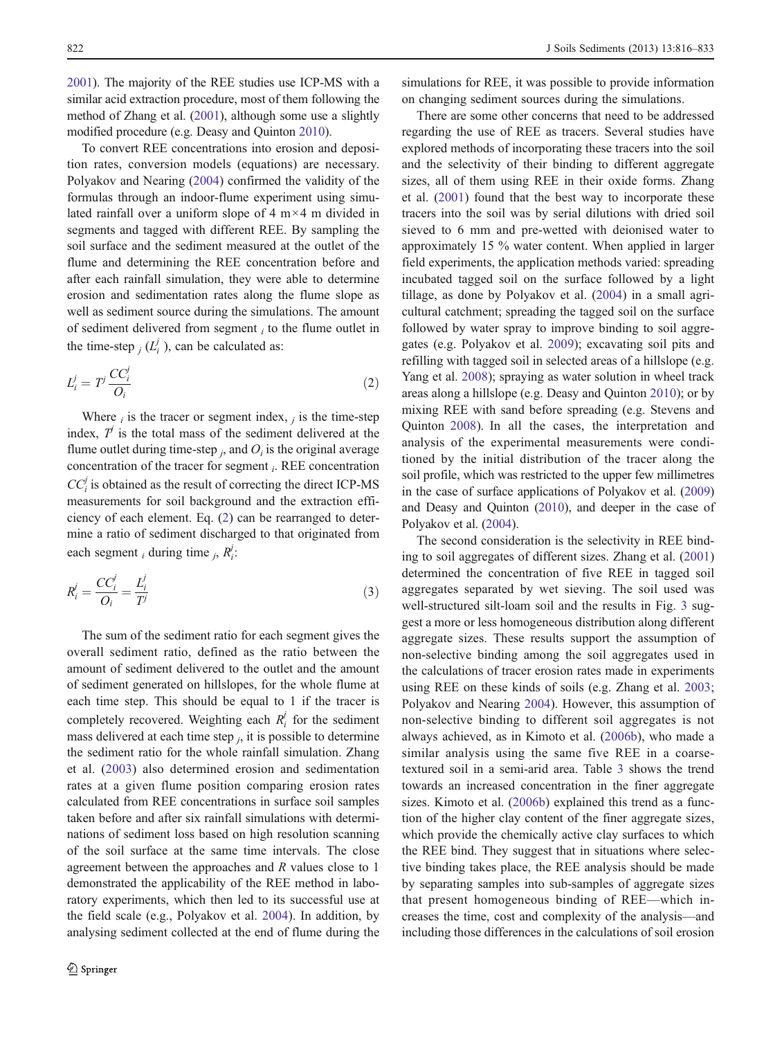[2001\)](#page-17-0). The majority of the REE studies use ICP-MS with a similar acid extraction procedure, most of them following the method of Zhang et al. ([2001](#page-17-0)), although some use a slightly modified procedure (e.g. Deasy and Quinton [2010](#page-13-0)).

To convert REE concentrations into erosion and deposition rates, conversion models (equations) are necessary. Polyakov and Nearing [\(2004](#page-15-0)) confirmed the validity of the formulas through an indoor-flume experiment using simulated rainfall over a uniform slope of  $4 \text{ m} \times 4 \text{ m}$  divided in segments and tagged with different REE. By sampling the soil surface and the sediment measured at the outlet of the flume and determining the REE concentration before and after each rainfall simulation, they were able to determine erosion and sedimentation rates along the flume slope as well as sediment source during the simulations. The amount of sediment delivered from segment  $_i$  to the flume outlet in the time-step  $_j(L_i^j)$ , can be calculated as:

$$
L_i^j = T^j \frac{CC_i^j}{O_i} \tag{2}
$$

Where  $_i$  is the tracer or segment index,  $_i$  is the time-step index,  $T<sup>j</sup>$  is the total mass of the sediment delivered at the flume outlet during time-step  $_i$ , and  $O_i$  is the original average concentration of the tracer for segment  $_i$ . REE concentration  $CC_i^j$  is obtained as the result of correcting the direct ICP-MS measurements for soil background and the extraction efficiency of each element. Eq. (2) can be rearranged to determine a ratio of sediment discharged to that originated from each segment  $_i$  during time  $_j$ ,  $R_i^j$ :

$$
R_i^j = \frac{CC_i^j}{O_i} = \frac{L_i^j}{T^j}
$$
\n<sup>(3)</sup>

The sum of the sediment ratio for each segment gives the overall sediment ratio, defined as the ratio between the amount of sediment delivered to the outlet and the amount of sediment generated on hillslopes, for the whole flume at each time step. This should be equal to 1 if the tracer is completely recovered. Weighting each  $R_i^j$  for the sediment mass delivered at each time step  $_i$ , it is possible to determine the sediment ratio for the whole rainfall simulation. Zhang et al. ([2003\)](#page-17-0) also determined erosion and sedimentation rates at a given flume position comparing erosion rates calculated from REE concentrations in surface soil samples taken before and after six rainfall simulations with determinations of sediment loss based on high resolution scanning of the soil surface at the same time intervals. The close agreement between the approaches and R values close to 1 demonstrated the applicability of the REE method in laboratory experiments, which then led to its successful use at the field scale (e.g., Polyakov et al. [2004\)](#page-15-0). In addition, by analysing sediment collected at the end of flume during the

simulations for REE, it was possible to provide information on changing sediment sources during the simulations.

There are some other concerns that need to be addressed regarding the use of REE as tracers. Several studies have explored methods of incorporating these tracers into the soil and the selectivity of their binding to different aggregate sizes, all of them using REE in their oxide forms. Zhang et al. ([2001\)](#page-17-0) found that the best way to incorporate these tracers into the soil was by serial dilutions with dried soil sieved to 6 mm and pre-wetted with deionised water to approximately 15 % water content. When applied in larger field experiments, the application methods varied: spreading incubated tagged soil on the surface followed by a light tillage, as done by Polyakov et al. [\(2004](#page-15-0)) in a small agricultural catchment; spreading the tagged soil on the surface followed by water spray to improve binding to soil aggregates (e.g. Polyakov et al. [2009](#page-15-0)); excavating soil pits and refilling with tagged soil in selected areas of a hillslope (e.g. Yang et al. [2008\)](#page-17-0); spraying as water solution in wheel track areas along a hillslope (e.g. Deasy and Quinton [2010](#page-13-0)); or by mixing REE with sand before spreading (e.g. Stevens and Quinton [2008](#page-16-0)). In all the cases, the interpretation and analysis of the experimental measurements were conditioned by the initial distribution of the tracer along the soil profile, which was restricted to the upper few millimetres in the case of surface applications of Polyakov et al. [\(2009](#page-15-0)) and Deasy and Quinton [\(2010\)](#page-13-0), and deeper in the case of Polyakov et al. [\(2004\)](#page-15-0).

The second consideration is the selectivity in REE binding to soil aggregates of different sizes. Zhang et al. [\(2001](#page-17-0)) determined the concentration of five REE in tagged soil aggregates separated by wet sieving. The soil used was well-structured silt-loam soil and the results in Fig. [3](#page-7-0) suggest a more or less homogeneous distribution along different aggregate sizes. These results support the assumption of non-selective binding among the soil aggregates used in the calculations of tracer erosion rates made in experiments using REE on these kinds of soils (e.g. Zhang et al. [2003;](#page-17-0) Polyakov and Nearing [2004\)](#page-15-0). However, this assumption of non-selective binding to different soil aggregates is not always achieved, as in Kimoto et al. ([2006b\)](#page-14-0), who made a similar analysis using the same five REE in a coarsetextured soil in a semi-arid area. Table [3](#page-7-0) shows the trend towards an increased concentration in the finer aggregate sizes. Kimoto et al. ([2006b\)](#page-14-0) explained this trend as a function of the higher clay content of the finer aggregate sizes, which provide the chemically active clay surfaces to which the REE bind. They suggest that in situations where selective binding takes place, the REE analysis should be made by separating samples into sub-samples of aggregate sizes that present homogeneous binding of REE—which increases the time, cost and complexity of the analysis—and including those differences in the calculations of soil erosion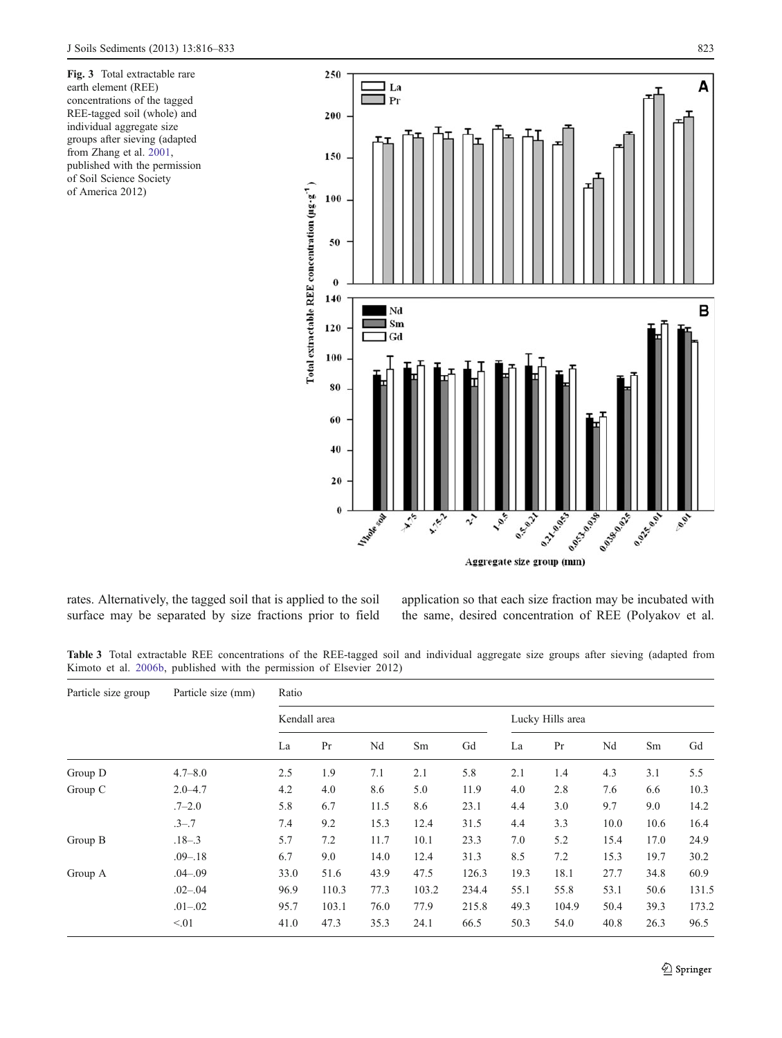<span id="page-7-0"></span>Fig. 3 Total extractable rare earth element (REE) concentrations of the tagged REE-tagged soil (whole) and individual aggregate size groups after sieving (adapted from Zhang et al. [2001,](#page-17-0) published with the permission of Soil Science Society of America 2012)



rates. Alternatively, the tagged soil that is applied to the soil surface may be separated by size fractions prior to field application so that each size fraction may be incubated with the same, desired concentration of REE (Polyakov et al.

Table 3 Total extractable REE concentrations of the REE-tagged soil and individual aggregate size groups after sieving (adapted from Kimoto et al. [2006b](#page-14-0), published with the permission of Elsevier 2012)

| Particle size group | Particle size (mm) | Ratio        |       |      |       |       |                  |       |      |      |       |  |  |
|---------------------|--------------------|--------------|-------|------|-------|-------|------------------|-------|------|------|-------|--|--|
|                     |                    | Kendall area |       |      |       |       | Lucky Hills area |       |      |      |       |  |  |
|                     |                    | La           | Pr    | Nd   | Sm    | Gd    | La               | Pr    | Nd   | Sm   | Gd    |  |  |
| Group D             | $4.7 - 8.0$        | 2.5          | 1.9   | 7.1  | 2.1   | 5.8   | 2.1              | 1.4   | 4.3  | 3.1  | 5.5   |  |  |
| Group C             | $2.0 - 4.7$        | 4.2          | 4.0   | 8.6  | 5.0   | 11.9  | 4.0              | 2.8   | 7.6  | 6.6  | 10.3  |  |  |
|                     | $.7 - 2.0$         | 5.8          | 6.7   | 11.5 | 8.6   | 23.1  | 4.4              | 3.0   | 9.7  | 9.0  | 14.2  |  |  |
|                     | $3 - 7$            | 7.4          | 9.2   | 15.3 | 12.4  | 31.5  | 4.4              | 3.3   | 10.0 | 10.6 | 16.4  |  |  |
| Group B             | $.18 - .3$         | 5.7          | 7.2   | 11.7 | 10.1  | 23.3  | 7.0              | 5.2   | 15.4 | 17.0 | 24.9  |  |  |
|                     | $.09 - .18$        | 6.7          | 9.0   | 14.0 | 12.4  | 31.3  | 8.5              | 7.2   | 15.3 | 19.7 | 30.2  |  |  |
| Group A             | $.04 - .09$        | 33.0         | 51.6  | 43.9 | 47.5  | 126.3 | 19.3             | 18.1  | 27.7 | 34.8 | 60.9  |  |  |
|                     | $.02 - .04$        | 96.9         | 110.3 | 77.3 | 103.2 | 234.4 | 55.1             | 55.8  | 53.1 | 50.6 | 131.5 |  |  |
|                     | $.01 - .02$        | 95.7         | 103.1 | 76.0 | 77.9  | 215.8 | 49.3             | 104.9 | 50.4 | 39.3 | 173.2 |  |  |
|                     | < 01               | 41.0         | 47.3  | 35.3 | 24.1  | 66.5  | 50.3             | 54.0  | 40.8 | 26.3 | 96.5  |  |  |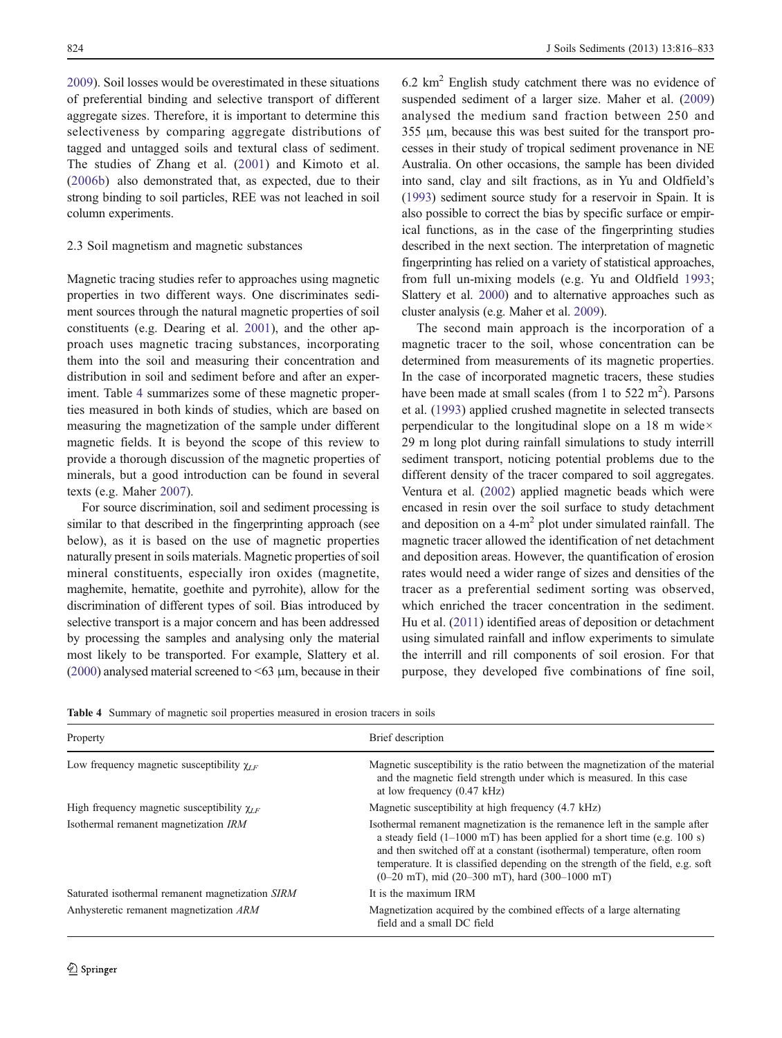[2009\)](#page-15-0). Soil losses would be overestimated in these situations of preferential binding and selective transport of different aggregate sizes. Therefore, it is important to determine this selectiveness by comparing aggregate distributions of tagged and untagged soils and textural class of sediment. The studies of Zhang et al. ([2001\)](#page-17-0) and Kimoto et al. [\(2006b](#page-14-0)) also demonstrated that, as expected, due to their strong binding to soil particles, REE was not leached in soil column experiments.

# 2.3 Soil magnetism and magnetic substances

Magnetic tracing studies refer to approaches using magnetic properties in two different ways. One discriminates sediment sources through the natural magnetic properties of soil constituents (e.g. Dearing et al. [2001](#page-13-0)), and the other approach uses magnetic tracing substances, incorporating them into the soil and measuring their concentration and distribution in soil and sediment before and after an experiment. Table 4 summarizes some of these magnetic properties measured in both kinds of studies, which are based on measuring the magnetization of the sample under different magnetic fields. It is beyond the scope of this review to provide a thorough discussion of the magnetic properties of minerals, but a good introduction can be found in several texts (e.g. Maher [2007\)](#page-14-0).

For source discrimination, soil and sediment processing is similar to that described in the fingerprinting approach (see below), as it is based on the use of magnetic properties naturally present in soils materials. Magnetic properties of soil mineral constituents, especially iron oxides (magnetite, maghemite, hematite, goethite and pyrrohite), allow for the discrimination of different types of soil. Bias introduced by selective transport is a major concern and has been addressed by processing the samples and analysing only the material most likely to be transported. For example, Slattery et al. [\(2000\)](#page-16-0) analysed material screened to  $\leq 63 \mu$ m, because in their

6.2  $\text{km}^2$  English study catchment there was no evidence of suspended sediment of a larger size. Maher et al. ([2009](#page-14-0)) analysed the medium sand fraction between 250 and 355 μm, because this was best suited for the transport processes in their study of tropical sediment provenance in NE Australia. On other occasions, the sample has been divided into sand, clay and silt fractions, as in Yu and Oldfield's [\(1993\)](#page-17-0) sediment source study for a reservoir in Spain. It is also possible to correct the bias by specific surface or empirical functions, as in the case of the fingerprinting studies described in the next section. The interpretation of magnetic fingerprinting has relied on a variety of statistical approaches, from full un-mixing models (e.g. Yu and Oldfield [1993;](#page-17-0) Slattery et al. [2000](#page-16-0)) and to alternative approaches such as cluster analysis (e.g. Maher et al. [2009\)](#page-14-0).

The second main approach is the incorporation of a magnetic tracer to the soil, whose concentration can be determined from measurements of its magnetic properties. In the case of incorporated magnetic tracers, these studies have been made at small scales (from 1 to  $522 \text{ m}^2$ ). Parsons et al. ([1993\)](#page-15-0) applied crushed magnetite in selected transects perpendicular to the longitudinal slope on a 18 m wide $\times$ 29 m long plot during rainfall simulations to study interrill sediment transport, noticing potential problems due to the different density of the tracer compared to soil aggregates. Ventura et al. [\(2002](#page-16-0)) applied magnetic beads which were encased in resin over the soil surface to study detachment and deposition on a  $4-m^2$  plot under simulated rainfall. The magnetic tracer allowed the identification of net detachment and deposition areas. However, the quantification of erosion rates would need a wider range of sizes and densities of the tracer as a preferential sediment sorting was observed, which enriched the tracer concentration in the sediment. Hu et al. ([2011](#page-14-0)) identified areas of deposition or detachment using simulated rainfall and inflow experiments to simulate the interrill and rill components of soil erosion. For that purpose, they developed five combinations of fine soil,

| <b>Table 4</b> Summary of magnetic soil properties measured in erosion tracers in soils |  |  |  |  |  |  |
|-----------------------------------------------------------------------------------------|--|--|--|--|--|--|
|                                                                                         |  |  |  |  |  |  |

| Magnetic susceptibility is the ratio between the magnetization of the material<br>and the magnetic field strength under which is measured. In this case<br>at low frequency $(0.47 \text{ kHz})$                                                                                                                                                                                  |  |  |  |  |
|-----------------------------------------------------------------------------------------------------------------------------------------------------------------------------------------------------------------------------------------------------------------------------------------------------------------------------------------------------------------------------------|--|--|--|--|
|                                                                                                                                                                                                                                                                                                                                                                                   |  |  |  |  |
| Magnetic susceptibility at high frequency (4.7 kHz)                                                                                                                                                                                                                                                                                                                               |  |  |  |  |
| Isothermal remanent magnetization is the remanence left in the sample after<br>a steady field $(1-1000$ mT) has been applied for a short time (e.g. 100 s)<br>and then switched off at a constant (isothermal) temperature, often room<br>temperature. It is classified depending on the strength of the field, e.g. soft<br>$(0-20$ mT), mid $(20-300$ mT), hard $(300-1000$ mT) |  |  |  |  |
| It is the maximum IRM                                                                                                                                                                                                                                                                                                                                                             |  |  |  |  |
| Magnetization acquired by the combined effects of a large alternating<br>field and a small DC field                                                                                                                                                                                                                                                                               |  |  |  |  |
|                                                                                                                                                                                                                                                                                                                                                                                   |  |  |  |  |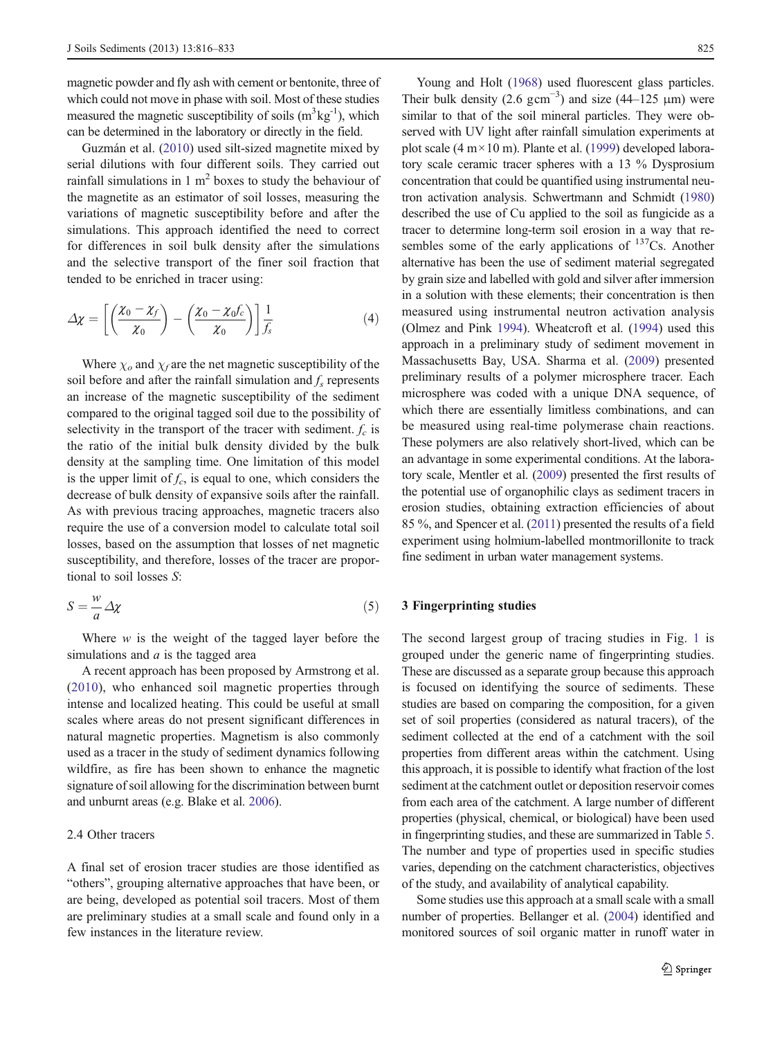magnetic powder and fly ash with cement or bentonite, three of which could not move in phase with soil. Most of these studies measured the magnetic susceptibility of soils  $(m^3kg^{-1})$ , which can be determined in the laboratory or directly in the field.

Guzmán et al. [\(2010](#page-13-0)) used silt-sized magnetite mixed by serial dilutions with four different soils. They carried out rainfall simulations in 1  $m<sup>2</sup>$  boxes to study the behaviour of the magnetite as an estimator of soil losses, measuring the variations of magnetic susceptibility before and after the simulations. This approach identified the need to correct for differences in soil bulk density after the simulations and the selective transport of the finer soil fraction that tended to be enriched in tracer using:

$$
\Delta \chi = \left[ \left( \frac{\chi_0 - \chi_f}{\chi_0} \right) - \left( \frac{\chi_0 - \chi_0 f_c}{\chi_0} \right) \right] \frac{1}{f_s} \tag{4}
$$

Where  $\chi_o$  and  $\chi_f$  are the net magnetic susceptibility of the soil before and after the rainfall simulation and  $f_s$  represents an increase of the magnetic susceptibility of the sediment compared to the original tagged soil due to the possibility of selectivity in the transport of the tracer with sediment.  $f_c$  is the ratio of the initial bulk density divided by the bulk density at the sampling time. One limitation of this model is the upper limit of  $f_c$ , is equal to one, which considers the decrease of bulk density of expansive soils after the rainfall. As with previous tracing approaches, magnetic tracers also require the use of a conversion model to calculate total soil losses, based on the assumption that losses of net magnetic susceptibility, and therefore, losses of the tracer are proportional to soil losses S:

$$
S = -\frac{w}{a} \Delta \chi \tag{5}
$$

Where  $w$  is the weight of the tagged layer before the simulations and  $a$  is the tagged area

A recent approach has been proposed by Armstrong et al. [\(2010\)](#page-12-0), who enhanced soil magnetic properties through intense and localized heating. This could be useful at small scales where areas do not present significant differences in natural magnetic properties. Magnetism is also commonly used as a tracer in the study of sediment dynamics following wildfire, as fire has been shown to enhance the magnetic signature of soil allowing for the discrimination between burnt and unburnt areas (e.g. Blake et al. [2006](#page-13-0)).

## 2.4 Other tracers

A final set of erosion tracer studies are those identified as "others", grouping alternative approaches that have been, or are being, developed as potential soil tracers. Most of them are preliminary studies at a small scale and found only in a few instances in the literature review.

Young and Holt [\(1968\)](#page-17-0) used fluorescent glass particles. Their bulk density (2.6 gcm<sup>-3</sup>) and size (44–125 µm) were similar to that of the soil mineral particles. They were observed with UV light after rainfall simulation experiments at plot scale (4 m $\times$ 10 m). Plante et al. [\(1999\)](#page-15-0) developed laboratory scale ceramic tracer spheres with a 13 % Dysprosium concentration that could be quantified using instrumental neutron activation analysis. Schwertmann and Schmidt [\(1980](#page-16-0)) described the use of Cu applied to the soil as fungicide as a tracer to determine long-term soil erosion in a way that resembles some of the early applications of  $137Cs$ . Another alternative has been the use of sediment material segregated by grain size and labelled with gold and silver after immersion in a solution with these elements; their concentration is then measured using instrumental neutron activation analysis (Olmez and Pink [1994](#page-15-0)). Wheatcroft et al. [\(1994\)](#page-16-0) used this approach in a preliminary study of sediment movement in Massachusetts Bay, USA. Sharma et al. ([2009\)](#page-16-0) presented preliminary results of a polymer microsphere tracer. Each microsphere was coded with a unique DNA sequence, of which there are essentially limitless combinations, and can be measured using real-time polymerase chain reactions. These polymers are also relatively short-lived, which can be an advantage in some experimental conditions. At the laboratory scale, Mentler et al. ([2009](#page-14-0)) presented the first results of the potential use of organophilic clays as sediment tracers in erosion studies, obtaining extraction efficiencies of about 85 %, and Spencer et al. ([2011\)](#page-16-0) presented the results of a field experiment using holmium-labelled montmorillonite to track fine sediment in urban water management systems.

#### 3 Fingerprinting studies

The second largest group of tracing studies in Fig. [1](#page-1-0) is grouped under the generic name of fingerprinting studies. These are discussed as a separate group because this approach is focused on identifying the source of sediments. These studies are based on comparing the composition, for a given set of soil properties (considered as natural tracers), of the sediment collected at the end of a catchment with the soil properties from different areas within the catchment. Using this approach, it is possible to identify what fraction of the lost sediment at the catchment outlet or deposition reservoir comes from each area of the catchment. A large number of different properties (physical, chemical, or biological) have been used in fingerprinting studies, and these are summarized in Table [5.](#page-10-0) The number and type of properties used in specific studies varies, depending on the catchment characteristics, objectives of the study, and availability of analytical capability.

Some studies use this approach at a small scale with a small number of properties. Bellanger et al. [\(2004\)](#page-13-0) identified and monitored sources of soil organic matter in runoff water in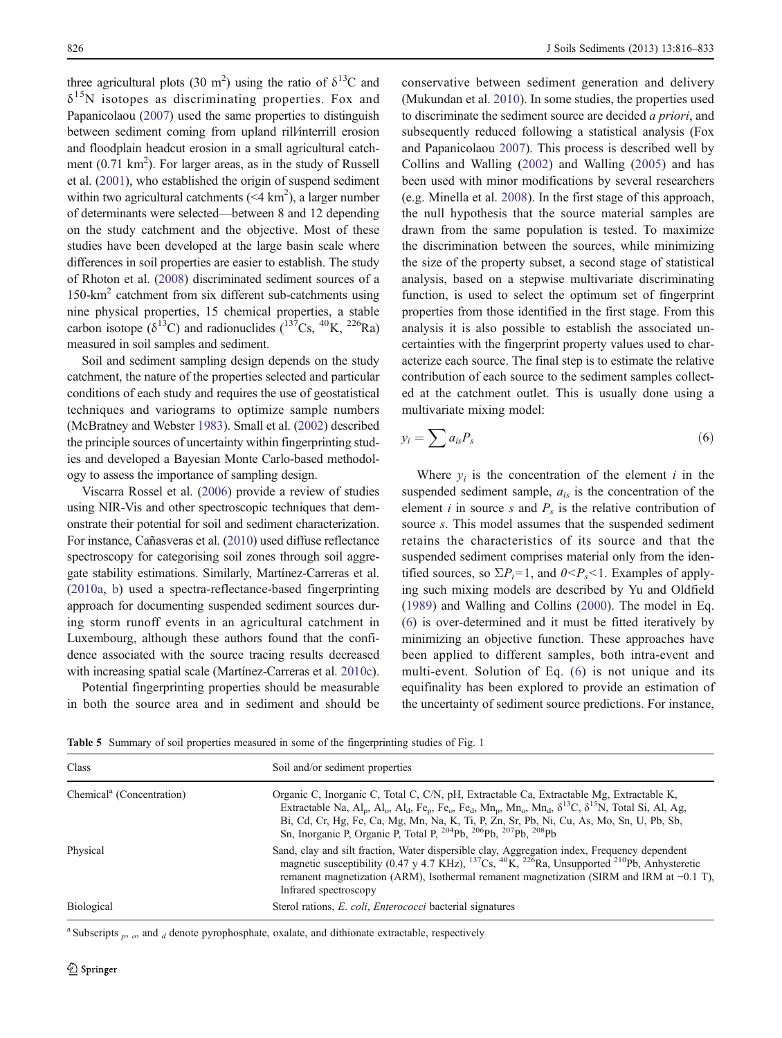<span id="page-10-0"></span>three agricultural plots (30 m<sup>2</sup>) using the ratio of  $\delta^{13}$ C and  $\delta^{15}$ N isotopes as discriminating properties. Fox and Papanicolaou [\(2007](#page-13-0)) used the same properties to distinguish between sediment coming from upland rill⁄interrill erosion and floodplain headcut erosion in a small agricultural catchment  $(0.71 \text{ km}^2)$ . For larger areas, as in the study of Russell et al. ([2001](#page-15-0)), who established the origin of suspend sediment within two agricultural catchments  $( $4 \text{ km}^2$ ), a larger number$ of determinants were selected—between 8 and 12 depending on the study catchment and the objective. Most of these studies have been developed at the large basin scale where differences in soil properties are easier to establish. The study of Rhoton et al. ([2008](#page-15-0)) discriminated sediment sources of a  $150-km^2$  catchment from six different sub-catchments using nine physical properties, 15 chemical properties, a stable carbon isotope ( $\delta^{13}$ C) and radionuclides ( $^{137}$ Cs,  $^{40}$ K,  $^{226}$ Ra) measured in soil samples and sediment.

Soil and sediment sampling design depends on the study catchment, the nature of the properties selected and particular conditions of each study and requires the use of geostatistical techniques and variograms to optimize sample numbers (McBratney and Webster [1983](#page-14-0)). Small et al. [\(2002\)](#page-16-0) described the principle sources of uncertainty within fingerprinting studies and developed a Bayesian Monte Carlo-based methodology to assess the importance of sampling design.

Viscarra Rossel et al. ([2006](#page-16-0)) provide a review of studies using NIR-Vis and other spectroscopic techniques that demonstrate their potential for soil and sediment characterization. For instance, Cañasveras et al. [\(2010\)](#page-13-0) used diffuse reflectance spectroscopy for categorising soil zones through soil aggregate stability estimations. Similarly, Martínez-Carreras et al. [\(2010a,](#page-14-0) [b\)](#page-14-0) used a spectra-reflectance-based fingerprinting approach for documenting suspended sediment sources during storm runoff events in an agricultural catchment in Luxembourg, although these authors found that the confidence associated with the source tracing results decreased with increasing spatial scale (Martínez-Carreras et al. [2010c\)](#page-14-0).

Potential fingerprinting properties should be measurable in both the source area and in sediment and should be conservative between sediment generation and delivery (Mukundan et al. [2010\)](#page-15-0). In some studies, the properties used to discriminate the sediment source are decided a priori, and subsequently reduced following a statistical analysis (Fox and Papanicolaou [2007](#page-13-0)). This process is described well by Collins and Walling ([2002\)](#page-13-0) and Walling ([2005](#page-16-0)) and has been used with minor modifications by several researchers (e.g. Minella et al. [2008\)](#page-15-0). In the first stage of this approach, the null hypothesis that the source material samples are drawn from the same population is tested. To maximize the discrimination between the sources, while minimizing the size of the property subset, a second stage of statistical analysis, based on a stepwise multivariate discriminating function, is used to select the optimum set of fingerprint properties from those identified in the first stage. From this analysis it is also possible to establish the associated uncertainties with the fingerprint property values used to characterize each source. The final step is to estimate the relative contribution of each source to the sediment samples collected at the catchment outlet. This is usually done using a multivariate mixing model:

$$
y_i = \sum a_{is} P_s \tag{6}
$$

Where  $y_i$  is the concentration of the element i in the suspended sediment sample,  $a_{is}$  is the concentration of the element i in source s and  $P_s$  is the relative contribution of source s. This model assumes that the suspended sediment retains the characteristics of its source and that the suspended sediment comprises material only from the identified sources, so  $\Sigma P_i=1$ , and  $0 < P_s < 1$ . Examples of applying such mixing models are described by Yu and Oldfield [\(1989](#page-17-0)) and Walling and Collins ([2000\)](#page-16-0). The model in Eq. (6) is over-determined and it must be fitted iteratively by minimizing an objective function. These approaches have been applied to different samples, both intra-event and multi-event. Solution of Eq. (6) is not unique and its equifinality has been explored to provide an estimation of the uncertainty of sediment source predictions. For instance,

Table 5 Summary of soil properties measured in some of the fingerprinting studies of Fig. [1](#page-1-0)

| Class                                 | Soil and/or sediment properties                                                                                                                                                                                                                                                                                                                                                                                                                                                                                                                  |  |  |  |  |  |
|---------------------------------------|--------------------------------------------------------------------------------------------------------------------------------------------------------------------------------------------------------------------------------------------------------------------------------------------------------------------------------------------------------------------------------------------------------------------------------------------------------------------------------------------------------------------------------------------------|--|--|--|--|--|
| Chemical <sup>a</sup> (Concentration) | Organic C, Inorganic C, Total C, C/N, pH, Extractable Ca, Extractable Mg, Extractable K,<br>Extractable Na, Al <sub>p</sub> , Al <sub>o</sub> , Al <sub>d</sub> , Fe <sub>p</sub> , Fe <sub>o</sub> , Fe <sub>d</sub> , Mn <sub>p</sub> , Mn <sub>o</sub> , Mn <sub>d</sub> , $\delta^{13}C$ , $\delta^{15}N$ , Total Si, Al, Ag,<br>Bi, Cd, Cr, Hg, Fe, Ca, Mg, Mn, Na, K, Ti, P, Zn, Sr, Pb, Ni, Cu, As, Mo, Sn, U, Pb, Sb,<br>Sn, Inorganic P, Organic P, Total P, <sup>204</sup> Pb, <sup>206</sup> Pb, <sup>207</sup> Pb, <sup>208</sup> Pb |  |  |  |  |  |
| Physical                              | Sand, clay and silt fraction, Water dispersible clay, Aggregation index, Frequency dependent<br>magnetic susceptibility (0.47 y 4.7 KHz), <sup>137</sup> Cs, <sup>40</sup> K, <sup>226</sup> Ra, Unsupported <sup>210</sup> Pb, Anhysteretic<br>remanent magnetization (ARM), Isothermal remanent magnetization (SIRM and IRM at $-0.1$ T),<br>Infrared spectroscopy                                                                                                                                                                             |  |  |  |  |  |
| <b>Biological</b>                     | Sterol rations, <i>E. coli, Enterococci</i> bacterial signatures                                                                                                                                                                                                                                                                                                                                                                                                                                                                                 |  |  |  |  |  |

<sup>a</sup> Subscripts  $_p$ ,  $_q$ , and  $_d$  denote pyrophosphate, oxalate, and dithionate extractable, respectively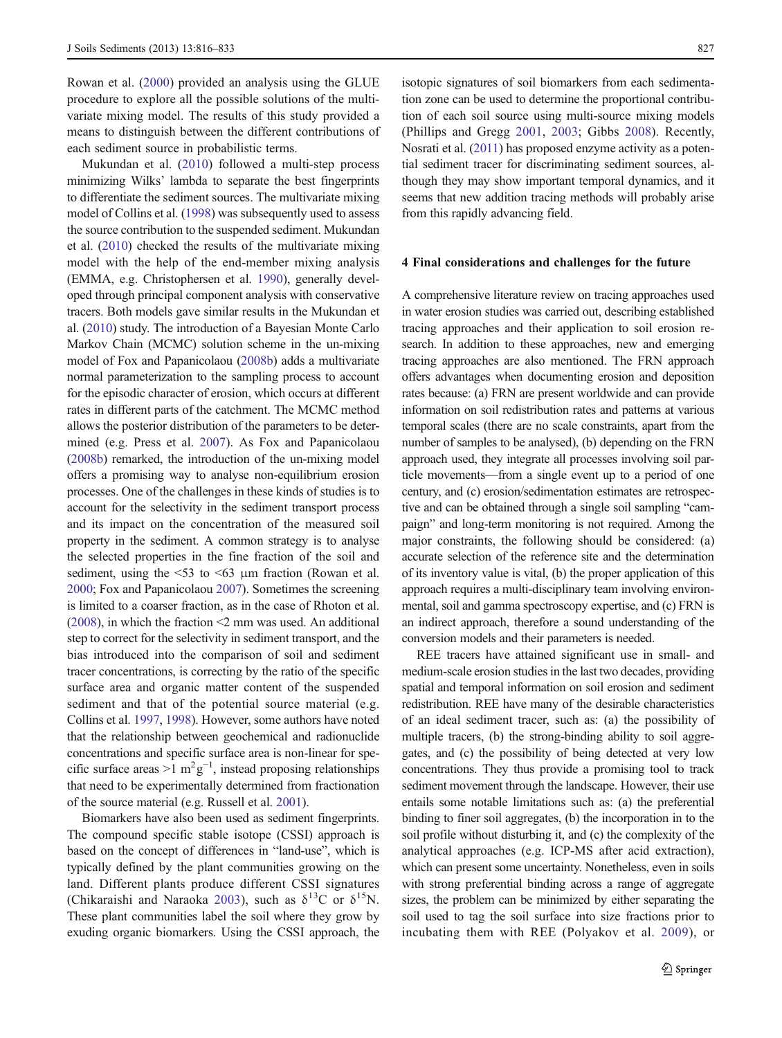Rowan et al. [\(2000](#page-15-0)) provided an analysis using the GLUE procedure to explore all the possible solutions of the multivariate mixing model. The results of this study provided a means to distinguish between the different contributions of each sediment source in probabilistic terms.

Mukundan et al. ([2010\)](#page-15-0) followed a multi-step process minimizing Wilks' lambda to separate the best fingerprints to differentiate the sediment sources. The multivariate mixing model of Collins et al. [\(1998\)](#page-13-0) was subsequently used to assess the source contribution to the suspended sediment. Mukundan et al. ([2010](#page-15-0)) checked the results of the multivariate mixing model with the help of the end-member mixing analysis (EMMA, e.g. Christophersen et al. [1990\)](#page-13-0), generally developed through principal component analysis with conservative tracers. Both models gave similar results in the Mukundan et al. [\(2010\)](#page-15-0) study. The introduction of a Bayesian Monte Carlo Markov Chain (MCMC) solution scheme in the un-mixing model of Fox and Papanicolaou ([2008b](#page-13-0)) adds a multivariate normal parameterization to the sampling process to account for the episodic character of erosion, which occurs at different rates in different parts of the catchment. The MCMC method allows the posterior distribution of the parameters to be determined (e.g. Press et al. [2007](#page-15-0)). As Fox and Papanicolaou [\(2008b\)](#page-13-0) remarked, the introduction of the un-mixing model offers a promising way to analyse non-equilibrium erosion processes. One of the challenges in these kinds of studies is to account for the selectivity in the sediment transport process and its impact on the concentration of the measured soil property in the sediment. A common strategy is to analyse the selected properties in the fine fraction of the soil and sediment, using the  $\leq 53$  to  $\leq 63$  µm fraction (Rowan et al. [2000;](#page-15-0) Fox and Papanicolaou [2007](#page-13-0)). Sometimes the screening is limited to a coarser fraction, as in the case of Rhoton et al. [\(2008\)](#page-15-0), in which the fraction <2 mm was used. An additional step to correct for the selectivity in sediment transport, and the bias introduced into the comparison of soil and sediment tracer concentrations, is correcting by the ratio of the specific surface area and organic matter content of the suspended sediment and that of the potential source material (e.g. Collins et al. [1997](#page-13-0), [1998\)](#page-13-0). However, some authors have noted that the relationship between geochemical and radionuclide concentrations and specific surface area is non-linear for specific surface areas >1 m<sup>2</sup>g<sup>-1</sup>, instead proposing relationships that need to be experimentally determined from fractionation of the source material (e.g. Russell et al. [2001](#page-15-0)).

Biomarkers have also been used as sediment fingerprints. The compound specific stable isotope (CSSI) approach is based on the concept of differences in "land-use", which is typically defined by the plant communities growing on the land. Different plants produce different CSSI signatures (Chikaraishi and Naraoka [2003\)](#page-13-0), such as  $\delta^{13}$ C or  $\delta^{15}$ N. These plant communities label the soil where they grow by exuding organic biomarkers. Using the CSSI approach, the

isotopic signatures of soil biomarkers from each sedimentation zone can be used to determine the proportional contribution of each soil source using multi-source mixing models (Phillips and Gregg [2001](#page-15-0), [2003;](#page-15-0) Gibbs [2008](#page-13-0)). Recently, Nosrati et al. ([2011](#page-15-0)) has proposed enzyme activity as a potential sediment tracer for discriminating sediment sources, although they may show important temporal dynamics, and it seems that new addition tracing methods will probably arise from this rapidly advancing field.

#### 4 Final considerations and challenges for the future

A comprehensive literature review on tracing approaches used in water erosion studies was carried out, describing established tracing approaches and their application to soil erosion research. In addition to these approaches, new and emerging tracing approaches are also mentioned. The FRN approach offers advantages when documenting erosion and deposition rates because: (a) FRN are present worldwide and can provide information on soil redistribution rates and patterns at various temporal scales (there are no scale constraints, apart from the number of samples to be analysed), (b) depending on the FRN approach used, they integrate all processes involving soil particle movements—from a single event up to a period of one century, and (c) erosion/sedimentation estimates are retrospective and can be obtained through a single soil sampling "campaign" and long-term monitoring is not required. Among the major constraints, the following should be considered: (a) accurate selection of the reference site and the determination of its inventory value is vital, (b) the proper application of this approach requires a multi-disciplinary team involving environmental, soil and gamma spectroscopy expertise, and (c) FRN is an indirect approach, therefore a sound understanding of the conversion models and their parameters is needed.

REE tracers have attained significant use in small- and medium-scale erosion studies in the last two decades, providing spatial and temporal information on soil erosion and sediment redistribution. REE have many of the desirable characteristics of an ideal sediment tracer, such as: (a) the possibility of multiple tracers, (b) the strong-binding ability to soil aggregates, and (c) the possibility of being detected at very low concentrations. They thus provide a promising tool to track sediment movement through the landscape. However, their use entails some notable limitations such as: (a) the preferential binding to finer soil aggregates, (b) the incorporation in to the soil profile without disturbing it, and (c) the complexity of the analytical approaches (e.g. ICP-MS after acid extraction), which can present some uncertainty. Nonetheless, even in soils with strong preferential binding across a range of aggregate sizes, the problem can be minimized by either separating the soil used to tag the soil surface into size fractions prior to incubating them with REE (Polyakov et al. [2009\)](#page-15-0), or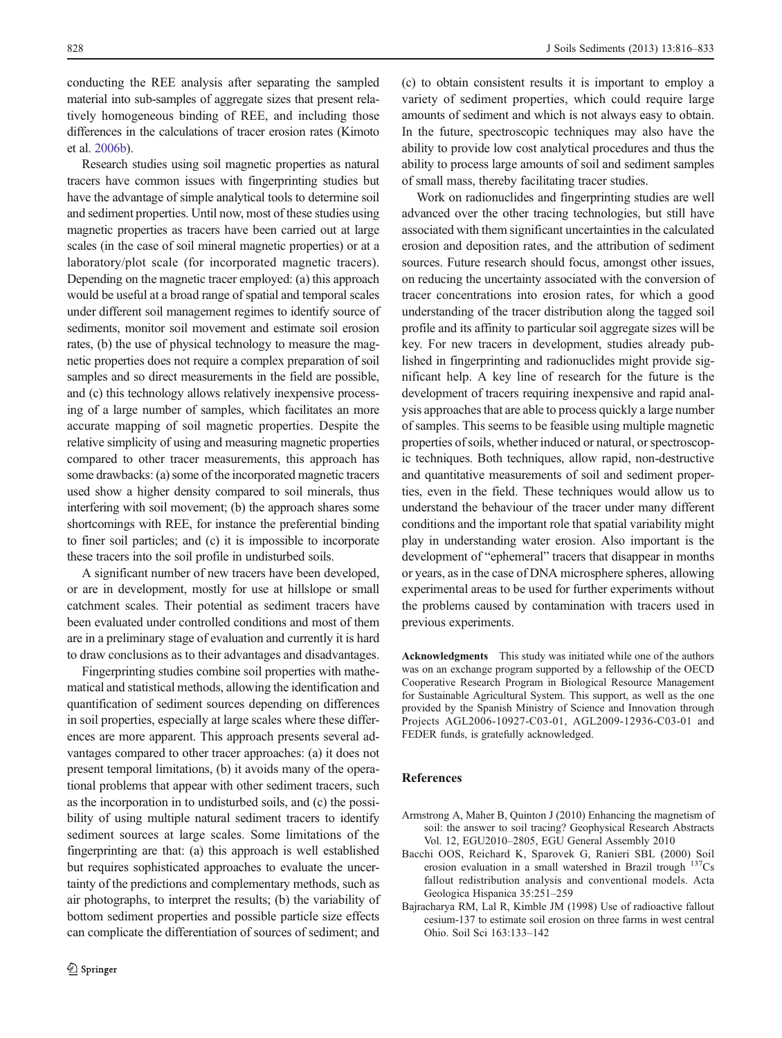<span id="page-12-0"></span>conducting the REE analysis after separating the sampled material into sub-samples of aggregate sizes that present relatively homogeneous binding of REE, and including those differences in the calculations of tracer erosion rates (Kimoto et al. [2006b](#page-14-0)).

Research studies using soil magnetic properties as natural tracers have common issues with fingerprinting studies but have the advantage of simple analytical tools to determine soil and sediment properties. Until now, most of these studies using magnetic properties as tracers have been carried out at large scales (in the case of soil mineral magnetic properties) or at a laboratory/plot scale (for incorporated magnetic tracers). Depending on the magnetic tracer employed: (a) this approach would be useful at a broad range of spatial and temporal scales under different soil management regimes to identify source of sediments, monitor soil movement and estimate soil erosion rates, (b) the use of physical technology to measure the magnetic properties does not require a complex preparation of soil samples and so direct measurements in the field are possible, and (c) this technology allows relatively inexpensive processing of a large number of samples, which facilitates an more accurate mapping of soil magnetic properties. Despite the relative simplicity of using and measuring magnetic properties compared to other tracer measurements, this approach has some drawbacks: (a) some of the incorporated magnetic tracers used show a higher density compared to soil minerals, thus interfering with soil movement; (b) the approach shares some shortcomings with REE, for instance the preferential binding to finer soil particles; and (c) it is impossible to incorporate these tracers into the soil profile in undisturbed soils.

A significant number of new tracers have been developed, or are in development, mostly for use at hillslope or small catchment scales. Their potential as sediment tracers have been evaluated under controlled conditions and most of them are in a preliminary stage of evaluation and currently it is hard to draw conclusions as to their advantages and disadvantages.

Fingerprinting studies combine soil properties with mathematical and statistical methods, allowing the identification and quantification of sediment sources depending on differences in soil properties, especially at large scales where these differences are more apparent. This approach presents several advantages compared to other tracer approaches: (a) it does not present temporal limitations, (b) it avoids many of the operational problems that appear with other sediment tracers, such as the incorporation in to undisturbed soils, and (c) the possibility of using multiple natural sediment tracers to identify sediment sources at large scales. Some limitations of the fingerprinting are that: (a) this approach is well established but requires sophisticated approaches to evaluate the uncertainty of the predictions and complementary methods, such as air photographs, to interpret the results; (b) the variability of bottom sediment properties and possible particle size effects can complicate the differentiation of sources of sediment; and

(c) to obtain consistent results it is important to employ a variety of sediment properties, which could require large amounts of sediment and which is not always easy to obtain. In the future, spectroscopic techniques may also have the ability to provide low cost analytical procedures and thus the ability to process large amounts of soil and sediment samples of small mass, thereby facilitating tracer studies.

Work on radionuclides and fingerprinting studies are well advanced over the other tracing technologies, but still have associated with them significant uncertainties in the calculated erosion and deposition rates, and the attribution of sediment sources. Future research should focus, amongst other issues, on reducing the uncertainty associated with the conversion of tracer concentrations into erosion rates, for which a good understanding of the tracer distribution along the tagged soil profile and its affinity to particular soil aggregate sizes will be key. For new tracers in development, studies already published in fingerprinting and radionuclides might provide significant help. A key line of research for the future is the development of tracers requiring inexpensive and rapid analysis approaches that are able to process quickly a large number of samples. This seems to be feasible using multiple magnetic properties of soils, whether induced or natural, or spectroscopic techniques. Both techniques, allow rapid, non-destructive and quantitative measurements of soil and sediment properties, even in the field. These techniques would allow us to understand the behaviour of the tracer under many different conditions and the important role that spatial variability might play in understanding water erosion. Also important is the development of "ephemeral" tracers that disappear in months or years, as in the case of DNA microsphere spheres, allowing experimental areas to be used for further experiments without the problems caused by contamination with tracers used in previous experiments.

Acknowledgments This study was initiated while one of the authors was on an exchange program supported by a fellowship of the OECD Cooperative Research Program in Biological Resource Management for Sustainable Agricultural System. This support, as well as the one provided by the Spanish Ministry of Science and Innovation through Projects AGL2006-10927-C03-01, AGL2009-12936-C03-01 and FEDER funds, is gratefully acknowledged.

# References

- Armstrong A, Maher B, Quinton J (2010) Enhancing the magnetism of soil: the answer to soil tracing? Geophysical Research Abstracts Vol. 12, EGU2010–2805, EGU General Assembly 2010
- Bacchi OOS, Reichard K, Sparovek G, Ranieri SBL (2000) Soil erosion evaluation in a small watershed in Brazil trough <sup>137</sup>Cs fallout redistribution analysis and conventional models. Acta Geologica Hispanica 35:251–259
- Bajracharya RM, Lal R, Kimble JM (1998) Use of radioactive fallout cesium-137 to estimate soil erosion on three farms in west central Ohio. Soil Sci 163:133–142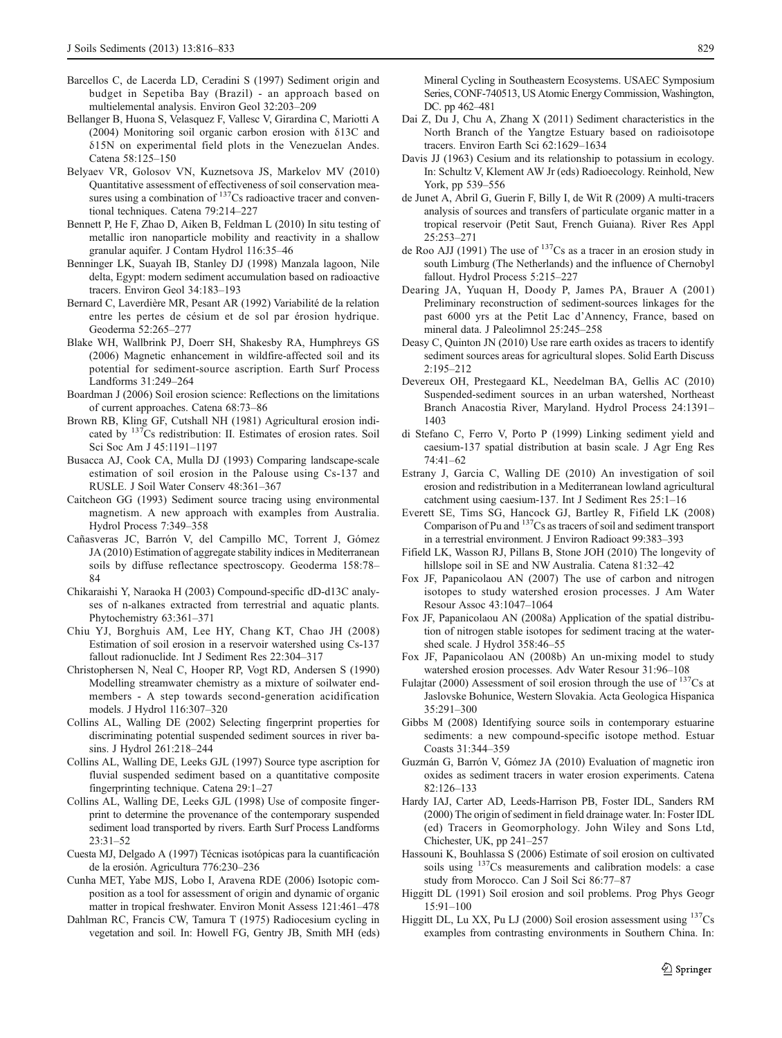- <span id="page-13-0"></span>Barcellos C, de Lacerda LD, Ceradini S (1997) Sediment origin and budget in Sepetiba Bay (Brazil) - an approach based on multielemental analysis. Environ Geol 32:203–209
- Bellanger B, Huona S, Velasquez F, Vallesc V, Girardina C, Mariotti A (2004) Monitoring soil organic carbon erosion with δ13C and δ15N on experimental field plots in the Venezuelan Andes. Catena 58:125–150
- Belyaev VR, Golosov VN, Kuznetsova JS, Markelov MV (2010) Quantitative assessment of effectiveness of soil conservation measures using a combination of  $137Cs$  radioactive tracer and conventional techniques. Catena 79:214–227
- Bennett P, He F, Zhao D, Aiken B, Feldman L (2010) In situ testing of metallic iron nanoparticle mobility and reactivity in a shallow granular aquifer. J Contam Hydrol 116:35–46
- Benninger LK, Suayah IB, Stanley DJ (1998) Manzala lagoon, Nile delta, Egypt: modern sediment accumulation based on radioactive tracers. Environ Geol 34:183–193
- Bernard C, Laverdière MR, Pesant AR (1992) Variabilité de la relation entre les pertes de césium et de sol par érosion hydrique. Geoderma 52:265–277
- Blake WH, Wallbrink PJ, Doerr SH, Shakesby RA, Humphreys GS (2006) Magnetic enhancement in wildfire-affected soil and its potential for sediment-source ascription. Earth Surf Process Landforms 31:249–264
- Boardman J (2006) Soil erosion science: Reflections on the limitations of current approaches. Catena 68:73–86
- Brown RB, Kling GF, Cutshall NH (1981) Agricultural erosion indicated by  $137Cs$  redistribution: II. Estimates of erosion rates. Soil Sci Soc Am J 45:1191–1197
- Busacca AJ, Cook CA, Mulla DJ (1993) Comparing landscape-scale estimation of soil erosion in the Palouse using Cs-137 and RUSLE. J Soil Water Conserv 48:361–367
- Caitcheon GG (1993) Sediment source tracing using environmental magnetism. A new approach with examples from Australia. Hydrol Process 7:349–358
- Cañasveras JC, Barrón V, del Campillo MC, Torrent J, Gómez JA (2010) Estimation of aggregate stability indices in Mediterranean soils by diffuse reflectance spectroscopy. Geoderma 158:78– 84
- Chikaraishi Y, Naraoka H (2003) Compound-specific dD-d13C analyses of n-alkanes extracted from terrestrial and aquatic plants. Phytochemistry 63:361–371
- Chiu YJ, Borghuis AM, Lee HY, Chang KT, Chao JH (2008) Estimation of soil erosion in a reservoir watershed using Cs-137 fallout radionuclide. Int J Sediment Res 22:304–317
- Christophersen N, Neal C, Hooper RP, Vogt RD, Andersen S (1990) Modelling streamwater chemistry as a mixture of soilwater endmembers - A step towards second-generation acidification models. J Hydrol 116:307–320
- Collins AL, Walling DE (2002) Selecting fingerprint properties for discriminating potential suspended sediment sources in river basins. J Hydrol 261:218–244
- Collins AL, Walling DE, Leeks GJL (1997) Source type ascription for fluvial suspended sediment based on a quantitative composite fingerprinting technique. Catena 29:1–27
- Collins AL, Walling DE, Leeks GJL (1998) Use of composite fingerprint to determine the provenance of the contemporary suspended sediment load transported by rivers. Earth Surf Process Landforms 23:31–52
- Cuesta MJ, Delgado A (1997) Técnicas isotópicas para la cuantificación de la erosión. Agricultura 776:230–236
- Cunha MET, Yabe MJS, Lobo I, Aravena RDE (2006) Isotopic composition as a tool for assessment of origin and dynamic of organic matter in tropical freshwater. Environ Monit Assess 121:461–478
- Dahlman RC, Francis CW, Tamura T (1975) Radiocesium cycling in vegetation and soil. In: Howell FG, Gentry JB, Smith MH (eds)

Mineral Cycling in Southeastern Ecosystems. USAEC Symposium Series, CONF-740513, US Atomic Energy Commission, Washington, DC. pp 462–481

- Dai Z, Du J, Chu A, Zhang X (2011) Sediment characteristics in the North Branch of the Yangtze Estuary based on radioisotope tracers. Environ Earth Sci 62:1629–1634
- Davis JJ (1963) Cesium and its relationship to potassium in ecology. In: Schultz V, Klement AW Jr (eds) Radioecology. Reinhold, New York, pp 539–556
- de Junet A, Abril G, Guerin F, Billy I, de Wit R (2009) A multi-tracers analysis of sources and transfers of particulate organic matter in a tropical reservoir (Petit Saut, French Guiana). River Res Appl 25:253–271
- de Roo AJJ (1991) The use of 137Cs as a tracer in an erosion study in south Limburg (The Netherlands) and the influence of Chernobyl fallout. Hydrol Process 5:215–227
- Dearing JA, Yuquan H, Doody P, James PA, Brauer A (2001) Preliminary reconstruction of sediment-sources linkages for the past 6000 yrs at the Petit Lac d'Annency, France, based on mineral data. J Paleolimnol 25:245–258
- Deasy C, Quinton JN (2010) Use rare earth oxides as tracers to identify sediment sources areas for agricultural slopes. Solid Earth Discuss 2:195–212
- Devereux OH, Prestegaard KL, Needelman BA, Gellis AC (2010) Suspended-sediment sources in an urban watershed, Northeast Branch Anacostia River, Maryland. Hydrol Process 24:1391– 1403
- di Stefano C, Ferro V, Porto P (1999) Linking sediment yield and caesium-137 spatial distribution at basin scale. J Agr Eng Res 74:41–62
- Estrany J, Garcia C, Walling DE (2010) An investigation of soil erosion and redistribution in a Mediterranean lowland agricultural catchment using caesium-137. Int J Sediment Res 25:1–16
- Everett SE, Tims SG, Hancock GJ, Bartley R, Fifield LK (2008) Comparison of Pu and  $137$ Cs as tracers of soil and sediment transport in a terrestrial environment. J Environ Radioact 99:383–393
- Fifield LK, Wasson RJ, Pillans B, Stone JOH (2010) The longevity of hillslope soil in SE and NW Australia. Catena 81:32–42
- Fox JF, Papanicolaou AN (2007) The use of carbon and nitrogen isotopes to study watershed erosion processes. J Am Water Resour Assoc 43:1047–1064
- Fox JF, Papanicolaou AN (2008a) Application of the spatial distribution of nitrogen stable isotopes for sediment tracing at the watershed scale. J Hydrol 358:46–55
- Fox JF, Papanicolaou AN (2008b) An un-mixing model to study watershed erosion processes. Adv Water Resour 31:96–108
- Fulajtar (2000) Assessment of soil erosion through the use of  $137Cs$  at Jaslovske Bohunice, Western Slovakia. Acta Geologica Hispanica 35:291–300
- Gibbs M (2008) Identifying source soils in contemporary estuarine sediments: a new compound-specific isotope method. Estuar Coasts 31:344–359
- Guzmán G, Barrón V, Gómez JA (2010) Evaluation of magnetic iron oxides as sediment tracers in water erosion experiments. Catena 82:126–133
- Hardy IAJ, Carter AD, Leeds-Harrison PB, Foster IDL, Sanders RM (2000) The origin of sediment in field drainage water. In: Foster IDL (ed) Tracers in Geomorphology. John Wiley and Sons Ltd, Chichester, UK, pp 241–257
- Hassouni K, Bouhlassa S (2006) Estimate of soil erosion on cultivated soils using <sup>137</sup>Cs measurements and calibration models: a case study from Morocco. Can J Soil Sci 86:77–87
- Higgitt DL (1991) Soil erosion and soil problems. Prog Phys Geogr 15:91–100
- Higgitt DL, Lu XX, Pu LJ (2000) Soil erosion assessment using 137Cs examples from contrasting environments in Southern China. In: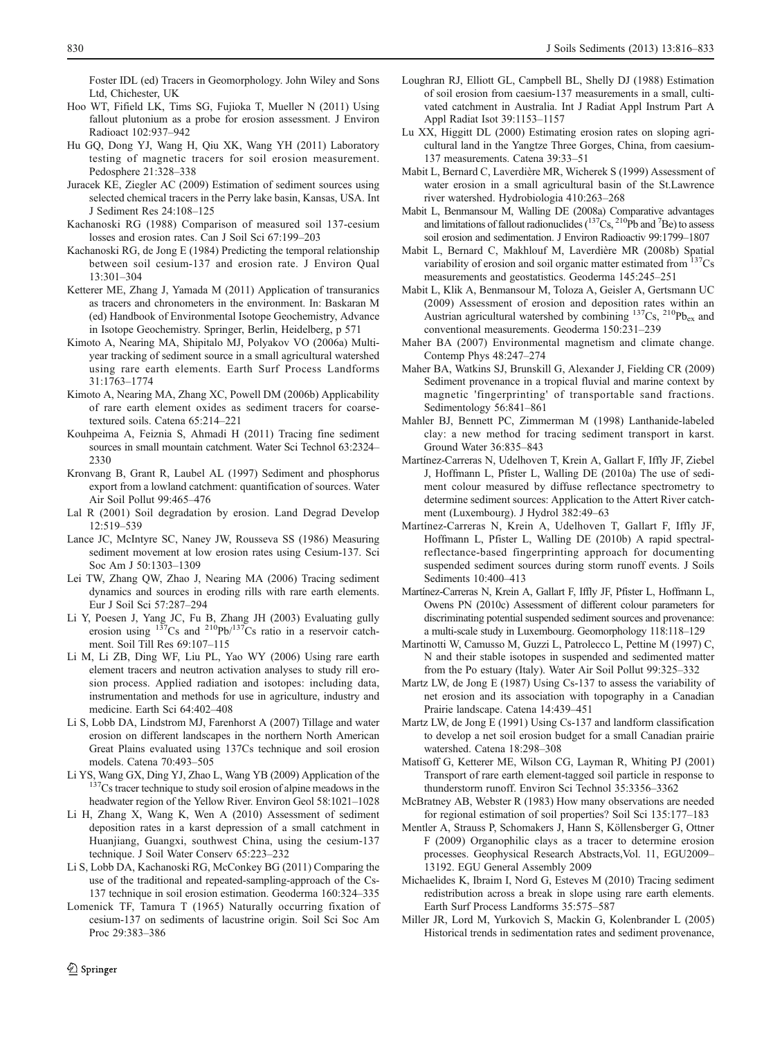<span id="page-14-0"></span>Foster IDL (ed) Tracers in Geomorphology. John Wiley and Sons Ltd, Chichester, UK

- Hoo WT, Fifield LK, Tims SG, Fujioka T, Mueller N (2011) Using fallout plutonium as a probe for erosion assessment. J Environ Radioact 102:937–942
- Hu GQ, Dong YJ, Wang H, Qiu XK, Wang YH (2011) Laboratory testing of magnetic tracers for soil erosion measurement. Pedosphere 21:328–338
- Juracek KE, Ziegler AC (2009) Estimation of sediment sources using selected chemical tracers in the Perry lake basin, Kansas, USA. Int J Sediment Res 24:108–125
- Kachanoski RG (1988) Comparison of measured soil 137-cesium losses and erosion rates. Can J Soil Sci 67:199–203
- Kachanoski RG, de Jong E (1984) Predicting the temporal relationship between soil cesium-137 and erosion rate. J Environ Qual 13:301–304
- Ketterer ME, Zhang J, Yamada M (2011) Application of transuranics as tracers and chronometers in the environment. In: Baskaran M (ed) Handbook of Environmental Isotope Geochemistry, Advance in Isotope Geochemistry. Springer, Berlin, Heidelberg, p 571
- Kimoto A, Nearing MA, Shipitalo MJ, Polyakov VO (2006a) Multiyear tracking of sediment source in a small agricultural watershed using rare earth elements. Earth Surf Process Landforms 31:1763–1774
- Kimoto A, Nearing MA, Zhang XC, Powell DM (2006b) Applicability of rare earth element oxides as sediment tracers for coarsetextured soils. Catena 65:214–221
- Kouhpeima A, Feiznia S, Ahmadi H (2011) Tracing fine sediment sources in small mountain catchment. Water Sci Technol 63:2324– 2330
- Kronvang B, Grant R, Laubel AL (1997) Sediment and phosphorus export from a lowland catchment: quantification of sources. Water Air Soil Pollut 99:465–476
- Lal R (2001) Soil degradation by erosion. Land Degrad Develop 12:519–539
- Lance JC, McIntyre SC, Naney JW, Rousseva SS (1986) Measuring sediment movement at low erosion rates using Cesium-137. Sci Soc Am J 50:1303–1309
- Lei TW, Zhang QW, Zhao J, Nearing MA (2006) Tracing sediment dynamics and sources in eroding rills with rare earth elements. Eur J Soil Sci 57:287–294
- Li Y, Poesen J, Yang JC, Fu B, Zhang JH (2003) Evaluating gully erosion using  $137$ Cs and  $210$ Pb/<sup>137</sup>Cs ratio in a reservoir catchment. Soil Till Res 69:107–115
- Li M, Li ZB, Ding WF, Liu PL, Yao WY (2006) Using rare earth element tracers and neutron activation analyses to study rill erosion process. Applied radiation and isotopes: including data, instrumentation and methods for use in agriculture, industry and medicine. Earth Sci 64:402–408
- Li S, Lobb DA, Lindstrom MJ, Farenhorst A (2007) Tillage and water erosion on different landscapes in the northern North American Great Plains evaluated using 137Cs technique and soil erosion models. Catena 70:493–505
- Li YS, Wang GX, Ding YJ, Zhao L, Wang YB (2009) Application of the <sup>137</sup>Cs tracer technique to study soil erosion of alpine meadows in the headwater region of the Yellow River. Environ Geol 58:1021–1028
- Li H, Zhang X, Wang K, Wen A (2010) Assessment of sediment deposition rates in a karst depression of a small catchment in Huanjiang, Guangxi, southwest China, using the cesium-137 technique. J Soil Water Conserv 65:223–232
- Li S, Lobb DA, Kachanoski RG, McConkey BG (2011) Comparing the use of the traditional and repeated-sampling-approach of the Cs-137 technique in soil erosion estimation. Geoderma 160:324–335
- Lomenick TF, Tamura T (1965) Naturally occurring fixation of cesium-137 on sediments of lacustrine origin. Soil Sci Soc Am Proc 29:383–386
- Loughran RJ, Elliott GL, Campbell BL, Shelly DJ (1988) Estimation of soil erosion from caesium-137 measurements in a small, cultivated catchment in Australia. Int J Radiat Appl Instrum Part A Appl Radiat Isot 39:1153–1157
- Lu XX, Higgitt DL (2000) Estimating erosion rates on sloping agricultural land in the Yangtze Three Gorges, China, from caesium-137 measurements. Catena 39:33–51
- Mabit L, Bernard C, Laverdière MR, Wicherek S (1999) Assessment of water erosion in a small agricultural basin of the St.Lawrence river watershed. Hydrobiologia 410:263–268
- Mabit L, Benmansour M, Walling DE (2008a) Comparative advantages and limitations of fallout radionuclides  $(^{137}\text{Cs}, ^{210}\text{Pb}$  and  $^7\text{Be})$  to assess soil erosion and sedimentation. J Environ Radioactiv 99:1799–1807
- Mabit L, Bernard C, Makhlouf M, Laverdière MR (2008b) Spatial variability of erosion and soil organic matter estimated from <sup>137</sup>Cs measurements and geostatistics. Geoderma 145:245–251
- Mabit L, Klik A, Benmansour M, Toloza A, Geisler A, Gertsmann UC (2009) Assessment of erosion and deposition rates within an Austrian agricultural watershed by combining  $137Cs$ ,  $210Pb_{ex}$  and conventional measurements. Geoderma 150:231–239
- Maher BA (2007) Environmental magnetism and climate change. Contemp Phys 48:247–274
- Maher BA, Watkins SJ, Brunskill G, Alexander J, Fielding CR (2009) Sediment provenance in a tropical fluvial and marine context by magnetic 'fingerprinting' of transportable sand fractions. Sedimentology 56:841–861
- Mahler BJ, Bennett PC, Zimmerman M (1998) Lanthanide-labeled clay: a new method for tracing sediment transport in karst. Ground Water 36:835–843
- Martínez-Carreras N, Udelhoven T, Krein A, Gallart F, Iffly JF, Ziebel J, Hoffmann L, Pfister L, Walling DE (2010a) The use of sediment colour measured by diffuse reflectance spectrometry to determine sediment sources: Application to the Attert River catchment (Luxembourg). J Hydrol 382:49–63
- Martínez-Carreras N, Krein A, Udelhoven T, Gallart F, Iffly JF, Hoffmann L, Pfister L, Walling DE (2010b) A rapid spectralreflectance-based fingerprinting approach for documenting suspended sediment sources during storm runoff events. J Soils Sediments 10:400–413
- Martínez-Carreras N, Krein A, Gallart F, Iffly JF, Pfister L, Hoffmann L, Owens PN (2010c) Assessment of different colour parameters for discriminating potential suspended sediment sources and provenance: a multi-scale study in Luxembourg. Geomorphology 118:118–129
- Martinotti W, Camusso M, Guzzi L, Patrolecco L, Pettine M (1997) C, N and their stable isotopes in suspended and sedimented matter from the Po estuary (Italy). Water Air Soil Pollut 99:325–332
- Martz LW, de Jong E (1987) Using Cs-137 to assess the variability of net erosion and its association with topography in a Canadian Prairie landscape. Catena 14:439–451
- Martz LW, de Jong E (1991) Using Cs-137 and landform classification to develop a net soil erosion budget for a small Canadian prairie watershed. Catena 18:298–308
- Matisoff G, Ketterer ME, Wilson CG, Layman R, Whiting PJ (2001) Transport of rare earth element-tagged soil particle in response to thunderstorm runoff. Environ Sci Technol 35:3356–3362
- McBratney AB, Webster R (1983) How many observations are needed for regional estimation of soil properties? Soil Sci 135:177–183
- Mentler A, Strauss P, Schomakers J, Hann S, Köllensberger G, Ottner F (2009) Organophilic clays as a tracer to determine erosion processes. Geophysical Research Abstracts,Vol. 11, EGU2009– 13192. EGU General Assembly 2009
- Michaelides K, Ibraim I, Nord G, Esteves M (2010) Tracing sediment redistribution across a break in slope using rare earth elements. Earth Surf Process Landforms 35:575–587
- Miller JR, Lord M, Yurkovich S, Mackin G, Kolenbrander L (2005) Historical trends in sedimentation rates and sediment provenance,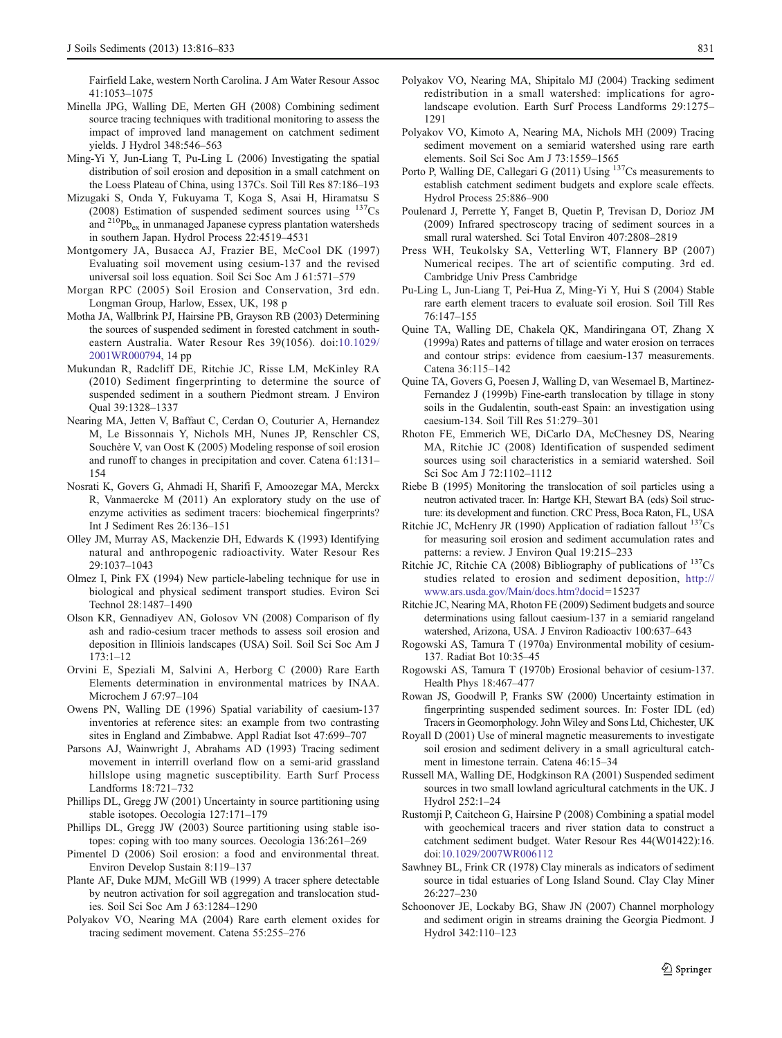<span id="page-15-0"></span>Fairfield Lake, western North Carolina. J Am Water Resour Assoc 41:1053–1075

- Minella JPG, Walling DE, Merten GH (2008) Combining sediment source tracing techniques with traditional monitoring to assess the impact of improved land management on catchment sediment yields. J Hydrol 348:546–563
- Ming-Yi Y, Jun-Liang T, Pu-Ling L (2006) Investigating the spatial distribution of soil erosion and deposition in a small catchment on the Loess Plateau of China, using 137Cs. Soil Till Res 87:186–193
- Mizugaki S, Onda Y, Fukuyama T, Koga S, Asai H, Hiramatsu S (2008) Estimation of suspended sediment sources using  $137Cs$ and  $^{210}Pb_{ex}$  in unmanaged Japanese cypress plantation watersheds in southern Japan. Hydrol Process 22:4519–4531
- Montgomery JA, Busacca AJ, Frazier BE, McCool DK (1997) Evaluating soil movement using cesium-137 and the revised universal soil loss equation. Soil Sci Soc Am J 61:571–579
- Morgan RPC (2005) Soil Erosion and Conservation, 3rd edn. Longman Group, Harlow, Essex, UK, 198 p
- Motha JA, Wallbrink PJ, Hairsine PB, Grayson RB (2003) Determining the sources of suspended sediment in forested catchment in southeastern Australia. Water Resour Res 39(1056). doi:[10.1029/](http://dx.doi.org/10.1029/2001WR000794) [2001WR000794,](http://dx.doi.org/10.1029/2001WR000794) 14 pp
- Mukundan R, Radcliff DE, Ritchie JC, Risse LM, McKinley RA (2010) Sediment fingerprinting to determine the source of suspended sediment in a southern Piedmont stream. J Environ Qual 39:1328–1337
- Nearing MA, Jetten V, Baffaut C, Cerdan O, Couturier A, Hernandez M, Le Bissonnais Y, Nichols MH, Nunes JP, Renschler CS, Souchère V, van Oost K (2005) Modeling response of soil erosion and runoff to changes in precipitation and cover. Catena 61:131– 154
- Nosrati K, Govers G, Ahmadi H, Sharifi F, Amoozegar MA, Merckx R, Vanmaercke M (2011) An exploratory study on the use of enzyme activities as sediment tracers: biochemical fingerprints? Int J Sediment Res 26:136–151
- Olley JM, Murray AS, Mackenzie DH, Edwards K (1993) Identifying natural and anthropogenic radioactivity. Water Resour Res 29:1037–1043
- Olmez I, Pink FX (1994) New particle-labeling technique for use in biological and physical sediment transport studies. Eviron Sci Technol 28:1487–1490
- Olson KR, Gennadiyev AN, Golosov VN (2008) Comparison of fly ash and radio-cesium tracer methods to assess soil erosion and deposition in Illiniois landscapes (USA) Soil. Soil Sci Soc Am J  $173:1-12$
- Orvini E, Speziali M, Salvini A, Herborg C (2000) Rare Earth Elements determination in environmental matrices by INAA. Microchem J 67:97–104
- Owens PN, Walling DE (1996) Spatial variability of caesium-137 inventories at reference sites: an example from two contrasting sites in England and Zimbabwe. Appl Radiat Isot 47:699–707
- Parsons AJ, Wainwright J, Abrahams AD (1993) Tracing sediment movement in interrill overland flow on a semi-arid grassland hillslope using magnetic susceptibility. Earth Surf Process Landforms 18:721–732
- Phillips DL, Gregg JW (2001) Uncertainty in source partitioning using stable isotopes. Oecologia 127:171–179
- Phillips DL, Gregg JW (2003) Source partitioning using stable isotopes: coping with too many sources. Oecologia 136:261–269
- Pimentel D (2006) Soil erosion: a food and environmental threat. Environ Develop Sustain 8:119–137
- Plante AF, Duke MJM, McGill WB (1999) A tracer sphere detectable by neutron activation for soil aggregation and translocation studies. Soil Sci Soc Am J 63:1284–1290
- Polyakov VO, Nearing MA (2004) Rare earth element oxides for tracing sediment movement. Catena 55:255–276
- Polyakov VO, Nearing MA, Shipitalo MJ (2004) Tracking sediment redistribution in a small watershed: implications for agrolandscape evolution. Earth Surf Process Landforms 29:1275– 1291
- Polyakov VO, Kimoto A, Nearing MA, Nichols MH (2009) Tracing sediment movement on a semiarid watershed using rare earth elements. Soil Sci Soc Am J 73:1559–1565
- Porto P, Walling DE, Callegari G (2011) Using <sup>137</sup>Cs measurements to establish catchment sediment budgets and explore scale effects. Hydrol Process 25:886–900
- Poulenard J, Perrette Y, Fanget B, Quetin P, Trevisan D, Dorioz JM (2009) Infrared spectroscopy tracing of sediment sources in a small rural watershed. Sci Total Environ 407:2808–2819
- Press WH, Teukolsky SA, Vetterling WT, Flannery BP (2007) Numerical recipes. The art of scientific computing. 3rd ed. Cambridge Univ Press Cambridge
- Pu-Ling L, Jun-Liang T, Pei-Hua Z, Ming-Yi Y, Hui S (2004) Stable rare earth element tracers to evaluate soil erosion. Soil Till Res 76:147–155
- Quine TA, Walling DE, Chakela QK, Mandiringana OT, Zhang X (1999a) Rates and patterns of tillage and water erosion on terraces and contour strips: evidence from caesium-137 measurements. Catena 36:115–142
- Quine TA, Govers G, Poesen J, Walling D, van Wesemael B, Martinez-Fernandez J (1999b) Fine-earth translocation by tillage in stony soils in the Gudalentin, south-east Spain: an investigation using caesium-134. Soil Till Res 51:279–301
- Rhoton FE, Emmerich WE, DiCarlo DA, McChesney DS, Nearing MA, Ritchie JC (2008) Identification of suspended sediment sources using soil characteristics in a semiarid watershed. Soil Sci Soc Am J 72:1102–1112
- Riebe B (1995) Monitoring the translocation of soil particles using a neutron activated tracer. In: Hartge KH, Stewart BA (eds) Soil structure: its development and function. CRC Press, Boca Raton, FL, USA
- Ritchie JC, McHenry JR (1990) Application of radiation fallout  $137Cs$ for measuring soil erosion and sediment accumulation rates and patterns: a review. J Environ Qual 19:215–233
- Ritchie JC, Ritchie CA (2008) Bibliography of publications of 137Cs studies related to erosion and sediment deposition, [http://](http://www.ars.usda.gov/Main/docs.htm?docid) [www.ars.usda.gov/Main/docs.htm?docid](http://www.ars.usda.gov/Main/docs.htm?docid)=15237
- Ritchie JC, Nearing MA, Rhoton FE (2009) Sediment budgets and source determinations using fallout caesium-137 in a semiarid rangeland watershed, Arizona, USA. J Environ Radioactiv 100:637–643
- Rogowski AS, Tamura T (1970a) Environmental mobility of cesium-137. Radiat Bot 10:35–45
- Rogowski AS, Tamura T (1970b) Erosional behavior of cesium-137. Health Phys 18:467–477
- Rowan JS, Goodwill P, Franks SW (2000) Uncertainty estimation in fingerprinting suspended sediment sources. In: Foster IDL (ed) Tracers in Geomorphology. John Wiley and Sons Ltd, Chichester, UK
- Royall D (2001) Use of mineral magnetic measurements to investigate soil erosion and sediment delivery in a small agricultural catchment in limestone terrain. Catena 46:15–34
- Russell MA, Walling DE, Hodgkinson RA (2001) Suspended sediment sources in two small lowland agricultural catchments in the UK. J Hydrol 252:1–24
- Rustomji P, Caitcheon G, Hairsine P (2008) Combining a spatial model with geochemical tracers and river station data to construct a catchment sediment budget. Water Resour Res 44(W01422):16. doi[:10.1029/2007WR006112](http://dx.doi.org/10.1029/2007WR006112)
- Sawhney BL, Frink CR (1978) Clay minerals as indicators of sediment source in tidal estuaries of Long Island Sound. Clay Clay Miner 26:227–230
- Schoonover JE, Lockaby BG, Shaw JN (2007) Channel morphology and sediment origin in streams draining the Georgia Piedmont. J Hydrol 342:110–123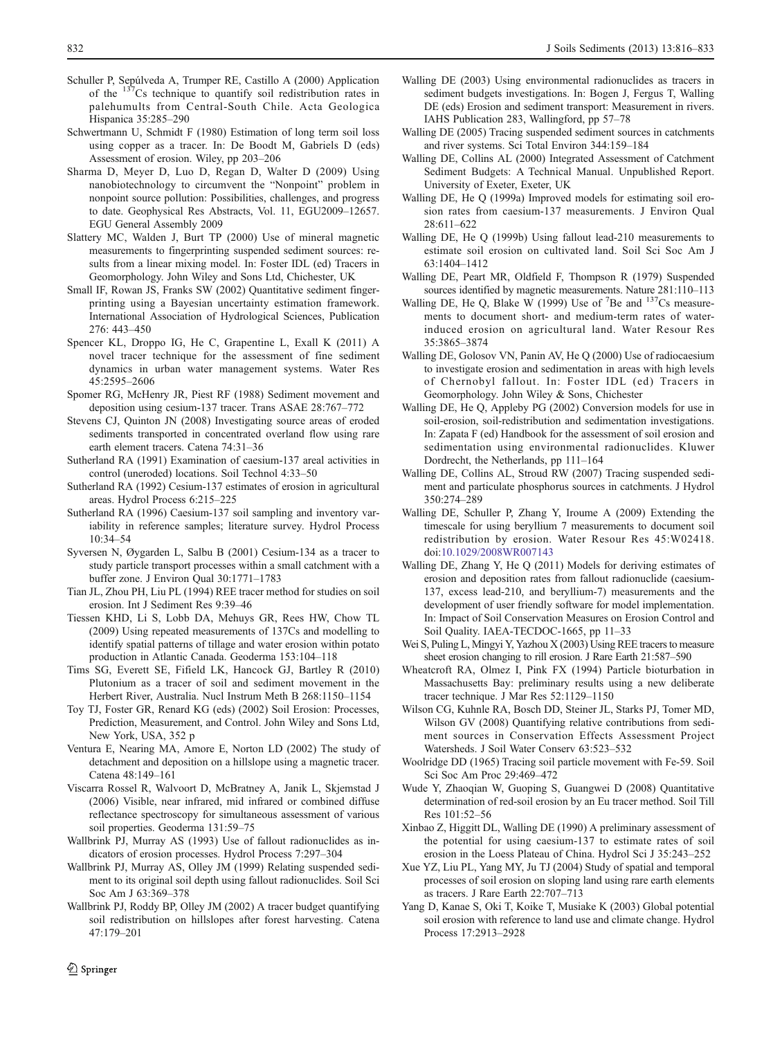- <span id="page-16-0"></span>Schuller P, Sepúlveda A, Trumper RE, Castillo A (2000) Application of the 137Cs technique to quantify soil redistribution rates in palehumults from Central-South Chile. Acta Geologica Hispanica 35:285–290
- Schwertmann U, Schmidt F (1980) Estimation of long term soil loss using copper as a tracer. In: De Boodt M, Gabriels D (eds) Assessment of erosion. Wiley, pp 203–206
- Sharma D, Meyer D, Luo D, Regan D, Walter D (2009) Using nanobiotechnology to circumvent the "Nonpoint" problem in nonpoint source pollution: Possibilities, challenges, and progress to date. Geophysical Res Abstracts, Vol. 11, EGU2009–12657. EGU General Assembly 2009
- Slattery MC, Walden J, Burt TP (2000) Use of mineral magnetic measurements to fingerprinting suspended sediment sources: results from a linear mixing model. In: Foster IDL (ed) Tracers in Geomorphology. John Wiley and Sons Ltd, Chichester, UK
- Small IF, Rowan JS, Franks SW (2002) Quantitative sediment fingerprinting using a Bayesian uncertainty estimation framework. International Association of Hydrological Sciences, Publication 276: 443–450
- Spencer KL, Droppo IG, He C, Grapentine L, Exall K (2011) A novel tracer technique for the assessment of fine sediment dynamics in urban water management systems. Water Res 45:2595–2606
- Spomer RG, McHenry JR, Piest RF (1988) Sediment movement and deposition using cesium-137 tracer. Trans ASAE 28:767–772
- Stevens CJ, Quinton JN (2008) Investigating source areas of eroded sediments transported in concentrated overland flow using rare earth element tracers. Catena 74:31–36
- Sutherland RA (1991) Examination of caesium-137 areal activities in control (uneroded) locations. Soil Technol 4:33–50
- Sutherland RA (1992) Cesium-137 estimates of erosion in agricultural areas. Hydrol Process 6:215–225
- Sutherland RA (1996) Caesium-137 soil sampling and inventory variability in reference samples; literature survey. Hydrol Process 10:34–54
- Syversen N, Øygarden L, Salbu B (2001) Cesium-134 as a tracer to study particle transport processes within a small catchment with a buffer zone. J Environ Qual 30:1771–1783
- Tian JL, Zhou PH, Liu PL (1994) REE tracer method for studies on soil erosion. Int J Sediment Res 9:39–46
- Tiessen KHD, Li S, Lobb DA, Mehuys GR, Rees HW, Chow TL (2009) Using repeated measurements of 137Cs and modelling to identify spatial patterns of tillage and water erosion within potato production in Atlantic Canada. Geoderma 153:104–118
- Tims SG, Everett SE, Fifield LK, Hancock GJ, Bartley R (2010) Plutonium as a tracer of soil and sediment movement in the Herbert River, Australia. Nucl Instrum Meth B 268:1150–1154
- Toy TJ, Foster GR, Renard KG (eds) (2002) Soil Erosion: Processes, Prediction, Measurement, and Control. John Wiley and Sons Ltd, New York, USA, 352 p
- Ventura E, Nearing MA, Amore E, Norton LD (2002) The study of detachment and deposition on a hillslope using a magnetic tracer. Catena 48:149–161
- Viscarra Rossel R, Walvoort D, McBratney A, Janik L, Skjemstad J (2006) Visible, near infrared, mid infrared or combined diffuse reflectance spectroscopy for simultaneous assessment of various soil properties. Geoderma 131:59–75
- Wallbrink PJ, Murray AS (1993) Use of fallout radionuclides as indicators of erosion processes. Hydrol Process 7:297–304
- Wallbrink PJ, Murray AS, Olley JM (1999) Relating suspended sediment to its original soil depth using fallout radionuclides. Soil Sci Soc Am J 63:369–378
- Wallbrink PJ, Roddy BP, Olley JM (2002) A tracer budget quantifying soil redistribution on hillslopes after forest harvesting. Catena 47:179–201
- Walling DE (2003) Using environmental radionuclides as tracers in sediment budgets investigations. In: Bogen J, Fergus T, Walling DE (eds) Erosion and sediment transport: Measurement in rivers. IAHS Publication 283, Wallingford, pp 57–78
- Walling DE (2005) Tracing suspended sediment sources in catchments and river systems. Sci Total Environ 344:159–184
- Walling DE, Collins AL (2000) Integrated Assessment of Catchment Sediment Budgets: A Technical Manual. Unpublished Report. University of Exeter, Exeter, UK
- Walling DE, He Q (1999a) Improved models for estimating soil erosion rates from caesium-137 measurements. J Environ Qual 28:611–622
- Walling DE, He Q (1999b) Using fallout lead-210 measurements to estimate soil erosion on cultivated land. Soil Sci Soc Am J 63:1404–1412
- Walling DE, Peart MR, Oldfield F, Thompson R (1979) Suspended sources identified by magnetic measurements. Nature 281:110–113
- Walling DE, He Q, Blake W (1999) Use of  $7$ Be and  $137$ Cs measurements to document short- and medium-term rates of waterinduced erosion on agricultural land. Water Resour Res 35:3865–3874
- Walling DE, Golosov VN, Panin AV, He Q (2000) Use of radiocaesium to investigate erosion and sedimentation in areas with high levels of Chernobyl fallout. In: Foster IDL (ed) Tracers in Geomorphology. John Wiley & Sons, Chichester
- Walling DE, He Q, Appleby PG (2002) Conversion models for use in soil-erosion, soil-redistribution and sedimentation investigations. In: Zapata F (ed) Handbook for the assessment of soil erosion and sedimentation using environmental radionuclides. Kluwer Dordrecht, the Netherlands, pp 111–164
- Walling DE, Collins AL, Stroud RW (2007) Tracing suspended sediment and particulate phosphorus sources in catchments. J Hydrol 350:274–289
- Walling DE, Schuller P, Zhang Y, Iroume A (2009) Extending the timescale for using beryllium 7 measurements to document soil redistribution by erosion. Water Resour Res 45:W02418. doi[:10.1029/2008WR007143](http://dx.doi.org/10.1029/2008WR007143)
- Walling DE, Zhang Y, He Q (2011) Models for deriving estimates of erosion and deposition rates from fallout radionuclide (caesium-137, excess lead-210, and beryllium-7) measurements and the development of user friendly software for model implementation. In: Impact of Soil Conservation Measures on Erosion Control and Soil Quality. IAEA-TECDOC-1665, pp 11–33
- Wei S, Puling L, Mingyi Y, Yazhou X (2003) Using REE tracers to measure sheet erosion changing to rill erosion. J Rare Earth 21:587–590
- Wheatcroft RA, Olmez I, Pink FX (1994) Particle bioturbation in Massachusetts Bay: preliminary results using a new deliberate tracer technique. J Mar Res 52:1129–1150
- Wilson CG, Kuhnle RA, Bosch DD, Steiner JL, Starks PJ, Tomer MD, Wilson GV (2008) Quantifying relative contributions from sediment sources in Conservation Effects Assessment Project Watersheds. J Soil Water Conserv 63:523–532
- Woolridge DD (1965) Tracing soil particle movement with Fe-59. Soil Sci Soc Am Proc 29:469–472
- Wude Y, Zhaoqian W, Guoping S, Guangwei D (2008) Quantitative determination of red-soil erosion by an Eu tracer method. Soil Till Res 101:52–56
- Xinbao Z, Higgitt DL, Walling DE (1990) A preliminary assessment of the potential for using caesium-137 to estimate rates of soil erosion in the Loess Plateau of China. Hydrol Sci J 35:243–252
- Xue YZ, Liu PL, Yang MY, Ju TJ (2004) Study of spatial and temporal processes of soil erosion on sloping land using rare earth elements as tracers. J Rare Earth 22:707–713
- Yang D, Kanae S, Oki T, Koike T, Musiake K (2003) Global potential soil erosion with reference to land use and climate change. Hydrol Process 17:2913–2928